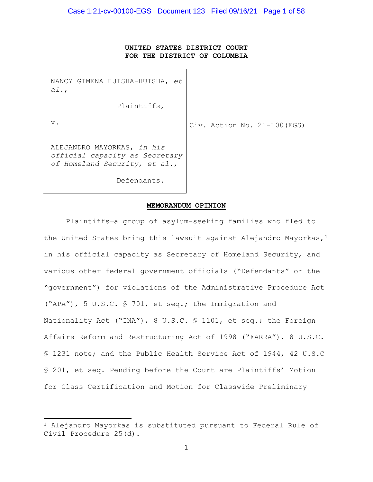## **UNITED STATES DISTRICT COURT FOR THE DISTRICT OF COLUMBIA**

NANCY GIMENA HUISHA-HUISHA, *et al.*,

Plaintiffs,

v.

Civ. Action No. 21-100(EGS)

ALEJANDRO MAYORKAS, *in his official capacity as Secretary of Homeland Security*, *et al*.,

Defendants.

#### **MEMORANDUM OPINION**

Plaintiffs—a group of asylum-seeking families who fled to the United States-bring this lawsuit against Alejandro Mayorkas,  $1$ in his official capacity as Secretary of Homeland Security, and various other federal government officials ("Defendants" or the "government") for violations of the Administrative Procedure Act ("APA"), 5 U.S.C. § 701, et seq.; the Immigration and Nationality Act ("INA"), 8 U.S.C. § 1101, et seq.; the Foreign Affairs Reform and Restructuring Act of 1998 ("FARRA"), 8 U.S.C. § 1231 note; and the Public Health Service Act of 1944, 42 U.S.C § 201, et seq. Pending before the Court are Plaintiffs' Motion for Class Certification and Motion for Classwide Preliminary

<sup>1</sup> Alejandro Mayorkas is substituted pursuant to Federal Rule of Civil Procedure 25(d).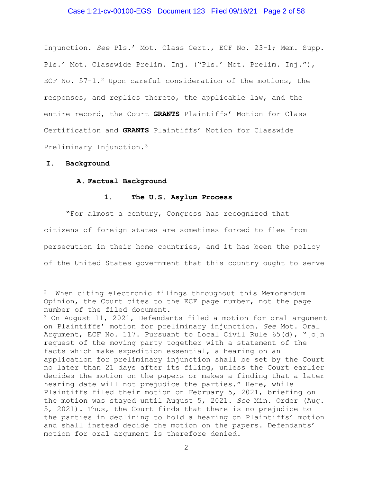## Case 1:21-cv-00100-EGS Document 123 Filed 09/16/21 Page 2 of 58

Injunction. *See* Pls.' Mot. Class Cert., ECF No. 23-1; Mem. Supp. Pls.' Mot. Classwide Prelim. Inj. ("Pls.' Mot. Prelim. Inj."), ECF No.  $57-1.2$  Upon careful consideration of the motions, the responses, and replies thereto, the applicable law, and the entire record, the Court **GRANTS** Plaintiffs' Motion for Class Certification and **GRANTS** Plaintiffs' Motion for Classwide Preliminary Injunction.3

#### **I. Background**

#### **A. Factual Background**

#### **1. The U.S. Asylum Process**

"For almost a century, Congress has recognized that citizens of foreign states are sometimes forced to flee from persecution in their home countries, and it has been the policy of the United States government that this country ought to serve

<sup>&</sup>lt;sup>2</sup> When citing electronic filings throughout this Memorandum Opinion, the Court cites to the ECF page number, not the page number of the filed document.

<sup>3</sup> On August 11, 2021, Defendants filed a motion for oral argument on Plaintiffs' motion for preliminary injunction. *See* Mot. Oral Argument, ECF No. 117. Pursuant to Local Civil Rule 65(d), "[o]n request of the moving party together with a statement of the facts which make expedition essential, a hearing on an application for preliminary injunction shall be set by the Court no later than 21 days after its filing, unless the Court earlier decides the motion on the papers or makes a finding that a later hearing date will not prejudice the parties." Here, while Plaintiffs filed their motion on February 5, 2021, briefing on the motion was stayed until August 5, 2021. *See* Min. Order (Aug. 5, 2021). Thus, the Court finds that there is no prejudice to the parties in declining to hold a hearing on Plaintiffs' motion and shall instead decide the motion on the papers. Defendants' motion for oral argument is therefore denied.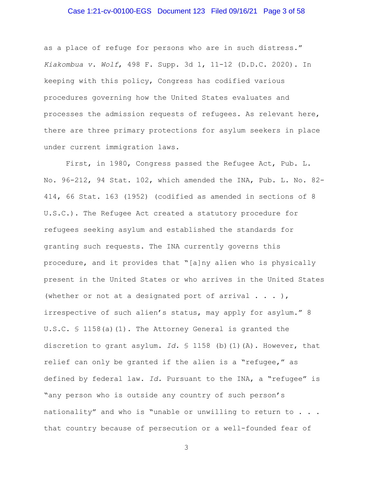## Case 1:21-cv-00100-EGS Document 123 Filed 09/16/21 Page 3 of 58

as a place of refuge for persons who are in such distress." *Kiakombua v. Wolf*, 498 F. Supp. 3d 1, 11-12 (D.D.C. 2020). In keeping with this policy, Congress has codified various procedures governing how the United States evaluates and processes the admission requests of refugees. As relevant here, there are three primary protections for asylum seekers in place under current immigration laws.

First, in 1980, Congress passed the Refugee Act, Pub. L. No. 96-212, 94 Stat. 102, which amended the INA, Pub. L. No. 82- 414, 66 Stat. 163 (1952) (codified as amended in sections of 8 U.S.C.). The Refugee Act created a statutory procedure for refugees seeking asylum and established the standards for granting such requests. The INA currently governs this procedure, and it provides that "[a]ny alien who is physically present in the United States or who arrives in the United States (whether or not at a designated port of arrival  $\ldots$  ), irrespective of such alien's status, may apply for asylum." 8 U.S.C. § 1158(a)(1). The Attorney General is granted the discretion to grant asylum. *Id.* § 1158 (b)(1)(A). However, that relief can only be granted if the alien is a "refugee," as defined by federal law. *Id.* Pursuant to the INA, a "refugee" is "any person who is outside any country of such person's nationality" and who is "unable or unwilling to return to . . . that country because of persecution or a well-founded fear of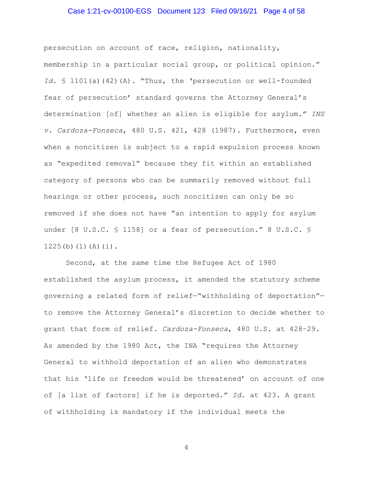## Case 1:21-cv-00100-EGS Document 123 Filed 09/16/21 Page 4 of 58

persecution on account of race, religion, nationality, membership in a particular social group, or political opinion." *Id.* § 1101(a)(42)(A). "Thus, the 'persecution or well-founded fear of persecution' standard governs the Attorney General's determination [of] whether an alien is eligible for asylum." *INS v. Cardoza-Fonseca*, 480 U.S. 421, 428 (1987). Furthermore, even when a noncitizen is subject to a rapid expulsion process known as "expedited removal" because they fit within an established category of persons who can be summarily removed without full hearings or other process, such noncitizen can only be so removed if she does not have "an intention to apply for asylum under [8 U.S.C. § 1158] or a fear of persecution." 8 U.S.C. § 1225(b)(1)(A)(i).

Second, at the same time the Refugee Act of 1980 established the asylum process, it amended the statutory scheme governing a related form of relief—"withholding of deportation" to remove the Attorney General's discretion to decide whether to grant that form of relief. *Cardoza-Fonseca*, 480 U.S. at 428–29. As amended by the 1980 Act, the INA "requires the Attorney General to withhold deportation of an alien who demonstrates that his 'life or freedom would be threatened' on account of one of [a list of factors] if he is deported." *Id.* at 423. A grant of withholding is mandatory if the individual meets the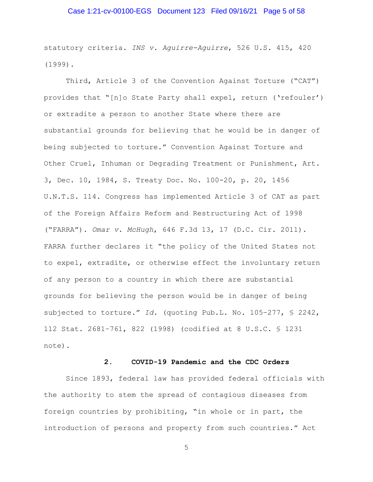## Case 1:21-cv-00100-EGS Document 123 Filed 09/16/21 Page 5 of 58

statutory criteria. *INS v. Aguirre-Aguirre*, 526 U.S. 415, 420 (1999).

Third, Article 3 of the Convention Against Torture ("CAT") provides that "[n]o State Party shall expel, return ('refouler') or extradite a person to another State where there are substantial grounds for believing that he would be in danger of being subjected to torture." Convention Against Torture and Other Cruel, Inhuman or Degrading Treatment or Punishment, Art. 3, Dec. 10, 1984, S. Treaty Doc. No. 100-20, p. 20, 1456 U.N.T.S. 114. Congress has implemented Article 3 of CAT as part of the Foreign Affairs Reform and Restructuring Act of 1998 ("FARRA"). *Omar v. McHugh*, 646 F.3d 13, 17 (D.C. Cir. 2011). FARRA further declares it "the policy of the United States not to expel, extradite, or otherwise effect the involuntary return of any person to a country in which there are substantial grounds for believing the person would be in danger of being subjected to torture." *Id.* (quoting Pub.L. No. 105–277, § 2242, 112 Stat. 2681–761, 822 (1998) (codified at 8 U.S.C. § 1231 note).

## **2. COVID-19 Pandemic and the CDC Orders**

Since 1893, federal law has provided federal officials with the authority to stem the spread of contagious diseases from foreign countries by prohibiting, "in whole or in part, the introduction of persons and property from such countries." Act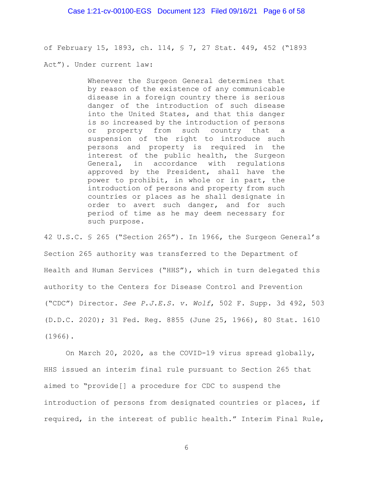of February 15, 1893, ch. 114, § 7, 27 Stat. 449, 452 ("1893

Act"). Under current law:

Whenever the Surgeon General determines that by reason of the existence of any communicable disease in a foreign country there is serious danger of the introduction of such disease into the United States, and that this danger is so increased by the introduction of persons or property from such country that a suspension of the right to introduce such persons and property is required in the interest of the public health, the Surgeon<br>General, in accordance with requlations in accordance with regulations approved by the President, shall have the power to prohibit, in whole or in part, the introduction of persons and property from such countries or places as he shall designate in order to avert such danger, and for such period of time as he may deem necessary for such purpose.

42 U.S.C. § 265 ("Section 265"). In 1966, the Surgeon General's Section 265 authority was transferred to the Department of Health and Human Services ("HHS"), which in turn delegated this authority to the Centers for Disease Control and Prevention ("CDC") Director. *See P.J.E.S. v. Wolf*, 502 F. Supp. 3d 492, 503 (D.D.C. 2020); 31 Fed. Reg. 8855 (June 25, 1966), 80 Stat. 1610 (1966).

On March 20, 2020, as the COVID-19 virus spread globally, HHS issued an interim final rule pursuant to Section 265 that aimed to "provide[] a procedure for CDC to suspend the introduction of persons from designated countries or places, if required, in the interest of public health." Interim Final Rule,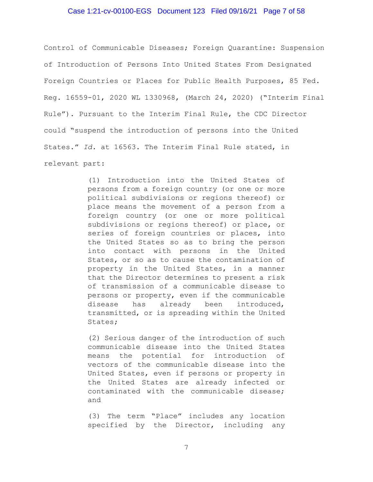## Case 1:21-cv-00100-EGS Document 123 Filed 09/16/21 Page 7 of 58

Control of Communicable Diseases; Foreign Quarantine: Suspension of Introduction of Persons Into United States From Designated Foreign Countries or Places for Public Health Purposes, 85 Fed. Reg. 16559-01, 2020 WL 1330968, (March 24, 2020) ("Interim Final Rule"). Pursuant to the Interim Final Rule, the CDC Director could "suspend the introduction of persons into the United States." *Id.* at 16563. The Interim Final Rule stated, in relevant part:

> (1) Introduction into the United States of persons from a foreign country (or one or more political subdivisions or regions thereof) or place means the movement of a person from a foreign country (or one or more political subdivisions or regions thereof) or place, or series of foreign countries or places, into the United States so as to bring the person into contact with persons in the United States, or so as to cause the contamination of property in the United States, in a manner that the Director determines to present a risk of transmission of a communicable disease to persons or property, even if the communicable disease has already been introduced, transmitted, or is spreading within the United States;

> (2) Serious danger of the introduction of such communicable disease into the United States means the potential for introduction of vectors of the communicable disease into the United States, even if persons or property in the United States are already infected or contaminated with the communicable disease; and

> (3) The term "Place" includes any location specified by the Director, including any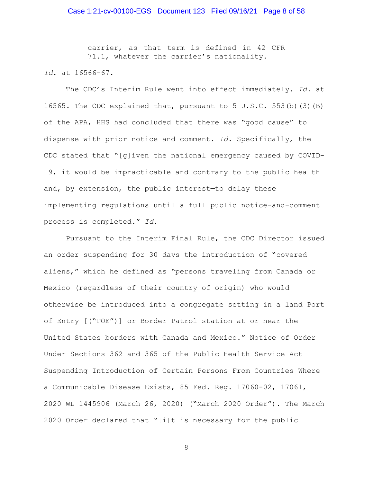carrier, as that term is defined in 42 CFR 71.1, whatever the carrier's nationality.

*Id.* at 16566-67.

The CDC's Interim Rule went into effect immediately. *Id.* at 16565. The CDC explained that, pursuant to 5 U.S.C. 553(b)(3)(B) of the APA, HHS had concluded that there was "good cause" to dispense with prior notice and comment. *Id.* Specifically, the CDC stated that "[g]iven the national emergency caused by COVID-19, it would be impracticable and contrary to the public health and, by extension, the public interest—to delay these implementing regulations until a full public notice-and-comment process is completed." *Id.* 

Pursuant to the Interim Final Rule, the CDC Director issued an order suspending for 30 days the introduction of "covered aliens," which he defined as "persons traveling from Canada or Mexico (regardless of their country of origin) who would otherwise be introduced into a congregate setting in a land Port of Entry [("POE")] or Border Patrol station at or near the United States borders with Canada and Mexico." Notice of Order Under Sections 362 and 365 of the Public Health Service Act Suspending Introduction of Certain Persons From Countries Where a Communicable Disease Exists, 85 Fed. Reg. 17060-02, 17061, 2020 WL 1445906 (March 26, 2020) ("March 2020 Order"). The March 2020 Order declared that "[i]t is necessary for the public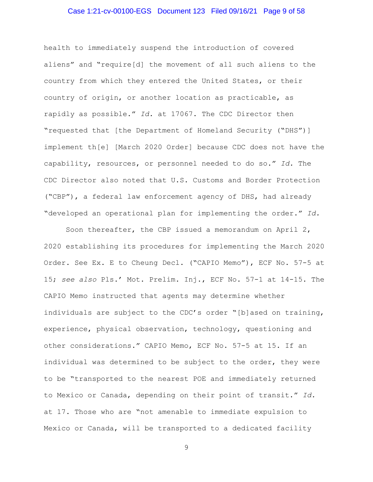## Case 1:21-cv-00100-EGS Document 123 Filed 09/16/21 Page 9 of 58

health to immediately suspend the introduction of covered aliens" and "require[d] the movement of all such aliens to the country from which they entered the United States, or their country of origin, or another location as practicable, as rapidly as possible." *Id.* at 17067. The CDC Director then "requested that [the Department of Homeland Security ("DHS")] implement th[e] [March 2020 Order] because CDC does not have the capability, resources, or personnel needed to do so." *Id.* The CDC Director also noted that U.S. Customs and Border Protection ("CBP"), a federal law enforcement agency of DHS, had already "developed an operational plan for implementing the order." *Id.*

Soon thereafter, the CBP issued a memorandum on April 2, 2020 establishing its procedures for implementing the March 2020 Order. See Ex. E to Cheung Decl. ("CAPIO Memo"), ECF No. 57-5 at 15; *see also* Pls.' Mot. Prelim. Inj., ECF No. 57-1 at 14-15. The CAPIO Memo instructed that agents may determine whether individuals are subject to the CDC's order "[b]ased on training, experience, physical observation, technology, questioning and other considerations." CAPIO Memo, ECF No. 57-5 at 15. If an individual was determined to be subject to the order, they were to be "transported to the nearest POE and immediately returned to Mexico or Canada, depending on their point of transit." *Id.* at 17. Those who are "not amenable to immediate expulsion to Mexico or Canada, will be transported to a dedicated facility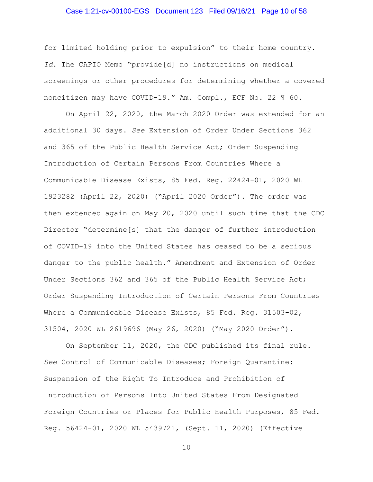#### Case 1:21-cv-00100-EGS Document 123 Filed 09/16/21 Page 10 of 58

for limited holding prior to expulsion" to their home country. *Id.* The CAPIO Memo "provide[d] no instructions on medical screenings or other procedures for determining whether a covered noncitizen may have COVID-19." Am. Compl., ECF No. 22 ¶ 60.

On April 22, 2020, the March 2020 Order was extended for an additional 30 days. *See* Extension of Order Under Sections 362 and 365 of the Public Health Service Act; Order Suspending Introduction of Certain Persons From Countries Where a Communicable Disease Exists, 85 Fed. Reg. 22424-01, 2020 WL 1923282 (April 22, 2020) ("April 2020 Order"). The order was then extended again on May 20, 2020 until such time that the CDC Director "determine[s] that the danger of further introduction of COVID-19 into the United States has ceased to be a serious danger to the public health." Amendment and Extension of Order Under Sections 362 and 365 of the Public Health Service Act; Order Suspending Introduction of Certain Persons From Countries Where a Communicable Disease Exists, 85 Fed. Reg. 31503-02, 31504, 2020 WL 2619696 (May 26, 2020) ("May 2020 Order").

On September 11, 2020, the CDC published its final rule. *See* Control of Communicable Diseases; Foreign Quarantine: Suspension of the Right To Introduce and Prohibition of Introduction of Persons Into United States From Designated Foreign Countries or Places for Public Health Purposes, 85 Fed. Reg. 56424-01, 2020 WL 5439721, (Sept. 11, 2020) (Effective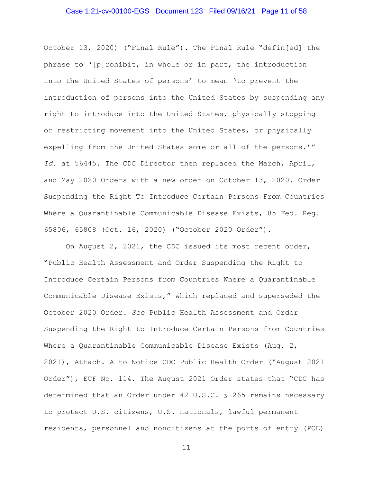## Case 1:21-cv-00100-EGS Document 123 Filed 09/16/21 Page 11 of 58

October 13, 2020) ("Final Rule"). The Final Rule "defin[ed] the phrase to '[p]rohibit, in whole or in part, the introduction into the United States of persons' to mean 'to prevent the introduction of persons into the United States by suspending any right to introduce into the United States, physically stopping or restricting movement into the United States, or physically expelling from the United States some or all of the persons.'" *Id.* at 56445. The CDC Director then replaced the March, April, and May 2020 Orders with a new order on October 13, 2020. Order Suspending the Right To Introduce Certain Persons From Countries Where a Quarantinable Communicable Disease Exists, 85 Fed. Reg. 65806, 65808 (Oct. 16, 2020) ("October 2020 Order").

On August 2, 2021, the CDC issued its most recent order, "Public Health Assessment and Order Suspending the Right to Introduce Certain Persons from Countries Where a Quarantinable Communicable Disease Exists," which replaced and superseded the October 2020 Order. *See* Public Health Assessment and Order Suspending the Right to Introduce Certain Persons from Countries Where a Quarantinable Communicable Disease Exists (Aug. 2, 2021), Attach. A to Notice CDC Public Health Order ("August 2021 Order"), ECF No. 114. The August 2021 Order states that "CDC has determined that an Order under 42 U.S.C. § 265 remains necessary to protect U.S. citizens, U.S. nationals, lawful permanent residents, personnel and noncitizens at the ports of entry (POE)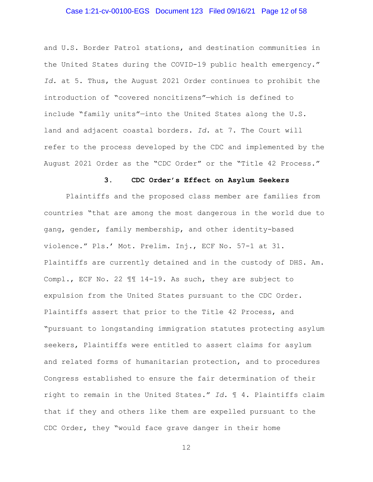#### Case 1:21-cv-00100-EGS Document 123 Filed 09/16/21 Page 12 of 58

and U.S. Border Patrol stations, and destination communities in the United States during the COVID-19 public health emergency." *Id.* at 5. Thus, the August 2021 Order continues to prohibit the introduction of "covered noncitizens"—which is defined to include "family units"—into the United States along the U.S. land and adjacent coastal borders. *Id.* at 7. The Court will refer to the process developed by the CDC and implemented by the August 2021 Order as the "CDC Order" or the "Title 42 Process."

#### **3. CDC Order's Effect on Asylum Seekers**

Plaintiffs and the proposed class member are families from countries "that are among the most dangerous in the world due to gang, gender, family membership, and other identity-based violence." Pls.' Mot. Prelim. Inj., ECF No. 57-1 at 31. Plaintiffs are currently detained and in the custody of DHS. Am. Compl., ECF No. 22 ¶¶ 14-19. As such, they are subject to expulsion from the United States pursuant to the CDC Order. Plaintiffs assert that prior to the Title 42 Process, and "pursuant to longstanding immigration statutes protecting asylum seekers, Plaintiffs were entitled to assert claims for asylum and related forms of humanitarian protection, and to procedures Congress established to ensure the fair determination of their right to remain in the United States." *Id.* ¶ 4. Plaintiffs claim that if they and others like them are expelled pursuant to the CDC Order, they "would face grave danger in their home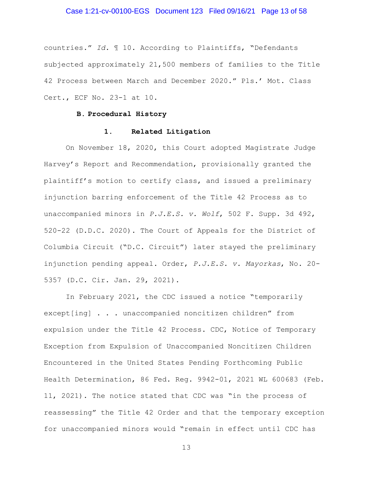#### Case 1:21-cv-00100-EGS Document 123 Filed 09/16/21 Page 13 of 58

countries." *Id.* ¶ 10. According to Plaintiffs, "Defendants subjected approximately 21,500 members of families to the Title 42 Process between March and December 2020." Pls.' Mot. Class Cert., ECF No. 23-1 at 10.

#### **B. Procedural History**

#### **1. Related Litigation**

On November 18, 2020, this Court adopted Magistrate Judge Harvey's Report and Recommendation, provisionally granted the plaintiff's motion to certify class, and issued a preliminary injunction barring enforcement of the Title 42 Process as to unaccompanied minors in *P.J.E.S. v. Wolf*, 502 F. Supp. 3d 492, 520-22 (D.D.C. 2020). The Court of Appeals for the District of Columbia Circuit ("D.C. Circuit") later stayed the preliminary injunction pending appeal. Order, *P.J.E.S. v. Mayorkas*, No. 20- 5357 (D.C. Cir. Jan. 29, 2021).

In February 2021, the CDC issued a notice "temporarily except[ing] . . . unaccompanied noncitizen children" from expulsion under the Title 42 Process. CDC, Notice of Temporary Exception from Expulsion of Unaccompanied Noncitizen Children Encountered in the United States Pending Forthcoming Public Health Determination, 86 Fed. Reg. 9942-01, 2021 WL 600683 (Feb. 11, 2021). The notice stated that CDC was "in the process of reassessing" the Title 42 Order and that the temporary exception for unaccompanied minors would "remain in effect until CDC has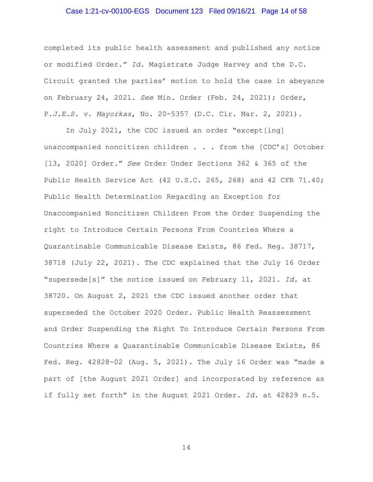## Case 1:21-cv-00100-EGS Document 123 Filed 09/16/21 Page 14 of 58

completed its public health assessment and published any notice or modified Order." *Id.* Magistrate Judge Harvey and the D.C. Circuit granted the parties' motion to hold the case in abeyance on February 24, 2021. *See* Min. Order (Feb. 24, 2021); Order, P*.J.E.S. v. Mayorkas*, No. 20-5357 (D.C. Cir. Mar. 2, 2021).

In July 2021, the CDC issued an order "except[ing] unaccompanied noncitizen children . . . from the [CDC's] October [13, 2020] Order." *See* Order Under Sections 362 & 365 of the Public Health Service Act (42 U.S.C. 265, 268) and 42 CFR 71.40; Public Health Determination Regarding an Exception for Unaccompanied Noncitizen Children From the Order Suspending the right to Introduce Certain Persons From Countries Where a Quarantinable Communicable Disease Exists, 86 Fed. Reg. 38717, 38718 (July 22, 2021). The CDC explained that the July 16 Order "supersede[s]" the notice issued on February 11, 2021. *Id.* at 38720. On August 2, 2021 the CDC issued another order that superseded the October 2020 Order. Public Health Reassessment and Order Suspending the Right To Introduce Certain Persons From Countries Where a Quarantinable Communicable Disease Exists, 86 Fed. Reg. 42828-02 (Aug. 5, 2021). The July 16 Order was "made a part of [the August 2021 Order] and incorporated by reference as if fully set forth" in the August 2021 Order. *Id.* at 42829 n.5.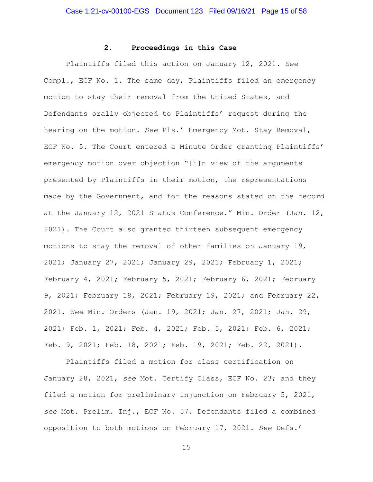## **2. Proceedings in this Case**

Plaintiffs filed this action on January 12, 2021. *See*  Compl., ECF No. 1. The same day, Plaintiffs filed an emergency motion to stay their removal from the United States, and Defendants orally objected to Plaintiffs' request during the hearing on the motion. *See* Pls.' Emergency Mot. Stay Removal, ECF No. 5. The Court entered a Minute Order granting Plaintiffs' emergency motion over objection "[i]n view of the arguments presented by Plaintiffs in their motion, the representations made by the Government, and for the reasons stated on the record at the January 12, 2021 Status Conference." Min. Order (Jan. 12, 2021). The Court also granted thirteen subsequent emergency motions to stay the removal of other families on January 19, 2021; January 27, 2021; January 29, 2021; February 1, 2021; February 4, 2021; February 5, 2021; February 6, 2021; February 9, 2021; February 18, 2021; February 19, 2021; and February 22, 2021. *See* Min. Orders (Jan. 19, 2021; Jan. 27, 2021; Jan. 29, 2021; Feb. 1, 2021; Feb. 4, 2021; Feb. 5, 2021; Feb. 6, 2021; Feb. 9, 2021; Feb. 18, 2021; Feb. 19, 2021; Feb. 22, 2021).

Plaintiffs filed a motion for class certification on January 28, 2021, *see* Mot. Certify Class, ECF No. 23; and they filed a motion for preliminary injunction on February 5, 2021, *see* Mot. Prelim. Inj., ECF No. 57. Defendants filed a combined opposition to both motions on February 17, 2021. *See* Defs.'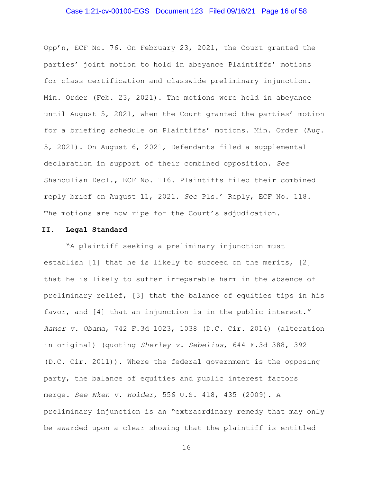## Case 1:21-cv-00100-EGS Document 123 Filed 09/16/21 Page 16 of 58

Opp'n, ECF No. 76. On February 23, 2021, the Court granted the parties' joint motion to hold in abeyance Plaintiffs' motions for class certification and classwide preliminary injunction. Min. Order (Feb. 23, 2021). The motions were held in abeyance until August 5, 2021, when the Court granted the parties' motion for a briefing schedule on Plaintiffs' motions. Min. Order (Aug. 5, 2021). On August 6, 2021, Defendants filed a supplemental declaration in support of their combined opposition. *See*  Shahoulian Decl., ECF No. 116. Plaintiffs filed their combined reply brief on August 11, 2021. *See* Pls.' Reply, ECF No. 118. The motions are now ripe for the Court's adjudication.

#### **II. Legal Standard**

"A plaintiff seeking a preliminary injunction must establish [1] that he is likely to succeed on the merits, [2] that he is likely to suffer irreparable harm in the absence of preliminary relief, [3] that the balance of equities tips in his favor, and [4] that an injunction is in the public interest." *Aamer v. Obama*, 742 F.3d 1023, 1038 (D.C. Cir. 2014) (alteration in original) (quoting *Sherley v. Sebelius*, 644 F.3d 388, 392 (D.C. Cir. 2011)). Where the federal government is the opposing party, the balance of equities and public interest factors merge. *See Nken v. Holder*, 556 U.S. 418, 435 (2009). A preliminary injunction is an "extraordinary remedy that may only be awarded upon a clear showing that the plaintiff is entitled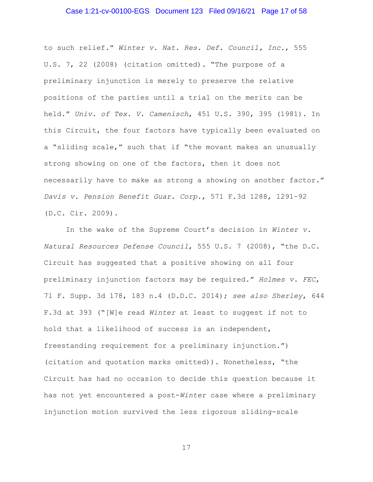## Case 1:21-cv-00100-EGS Document 123 Filed 09/16/21 Page 17 of 58

to such relief." *Winter v. Nat. Res. Def. Council, Inc.*, 555 U.S. 7, 22 (2008) (citation omitted). "The purpose of a preliminary injunction is merely to preserve the relative positions of the parties until a trial on the merits can be held." *Univ. of Tex. V. Camenisch*, 451 U.S. 390, 395 (1981). In this Circuit, the four factors have typically been evaluated on a "sliding scale," such that if "the movant makes an unusually strong showing on one of the factors, then it does not necessarily have to make as strong a showing on another factor." *Davis v. Pension Benefit Guar. Corp.*, 571 F.3d 1288, 1291–92 (D.C. Cir. 2009).

In the wake of the Supreme Court's decision in *Winter v. Natural Resources Defense Council*, 555 U.S. 7 (2008), "the D.C. Circuit has suggested that a positive showing on all four preliminary injunction factors may be required." *Holmes v. FEC*, 71 F. Supp. 3d 178, 183 n.4 (D.D.C. 2014); *see also Sherley*, 644 F.3d at 393 ("[W]e read *Winter* at least to suggest if not to hold that a likelihood of success is an independent, freestanding requirement for a preliminary injunction.") (citation and quotation marks omitted)). Nonetheless, "the Circuit has had no occasion to decide this question because it has not yet encountered a post-*Winter* case where a preliminary injunction motion survived the less rigorous sliding-scale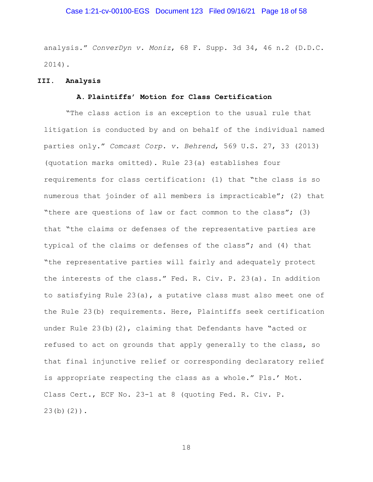## Case 1:21-cv-00100-EGS Document 123 Filed 09/16/21 Page 18 of 58

analysis." *ConverDyn v. Moniz*, 68 F. Supp. 3d 34, 46 n.2 (D.D.C. 2014).

#### **III. Analysis**

## **A. Plaintiffs' Motion for Class Certification**

"The class action is an exception to the usual rule that litigation is conducted by and on behalf of the individual named parties only." *Comcast Corp. v. Behrend*, 569 U.S. 27, 33 (2013) (quotation marks omitted). Rule 23(a) establishes four requirements for class certification: (1) that "the class is so numerous that joinder of all members is impracticable"; (2) that "there are questions of law or fact common to the class"; (3) that "the claims or defenses of the representative parties are typical of the claims or defenses of the class"; and (4) that "the representative parties will fairly and adequately protect the interests of the class." Fed. R. Civ. P. 23(a). In addition to satisfying Rule 23(a), a putative class must also meet one of the Rule 23(b) requirements. Here, Plaintiffs seek certification under Rule 23(b)(2), claiming that Defendants have "acted or refused to act on grounds that apply generally to the class, so that final injunctive relief or corresponding declaratory relief is appropriate respecting the class as a whole." Pls.' Mot. Class Cert., ECF No. 23-1 at 8 (quoting Fed. R. Civ. P. 23(b)(2)).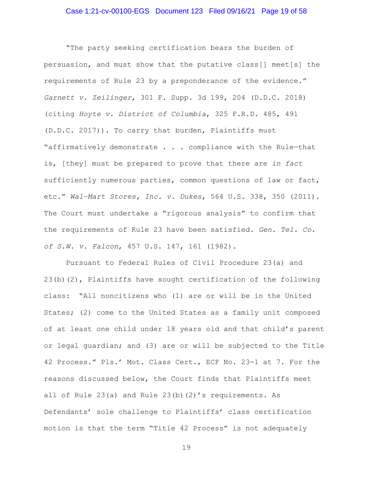"The party seeking certification bears the burden of persuasion, and must show that the putative class[] meet[s] the requirements of Rule 23 by a preponderance of the evidence." *Garnett v. Zeilinger*, 301 F. Supp. 3d 199, 204 (D.D.C. 2018) (citing *Hoyte v. District of Columbia*, 325 F.R.D. 485, 491 (D.D.C. 2017)). To carry that burden, Plaintiffs must "affirmatively demonstrate . . . compliance with the Rule—that is, [they] must be prepared to prove that there are *in fact* sufficiently numerous parties, common questions of law or fact, etc." *Wal–Mart Stores, Inc. v. Dukes*, 564 U.S. 338, 350 (2011). The Court must undertake a "rigorous analysis" to confirm that the requirements of Rule 23 have been satisfied. *Gen. Tel. Co. of S.W. v. Falcon*, 457 U.S. 147, 161 (1982).

Pursuant to Federal Rules of Civil Procedure 23(a) and 23(b)(2), Plaintiffs have sought certification of the following class: "All noncitizens who (1) are or will be in the United States; (2) come to the United States as a family unit composed of at least one child under 18 years old and that child's parent or legal guardian; and (3) are or will be subjected to the Title 42 Process." Pls.' Mot. Class Cert., ECF No. 23-1 at 7. For the reasons discussed below, the Court finds that Plaintiffs meet all of Rule  $23(a)$  and Rule  $23(b)(2)'$ s requirements. As Defendants' sole challenge to Plaintiffs' class certification motion is that the term "Title 42 Process" is not adequately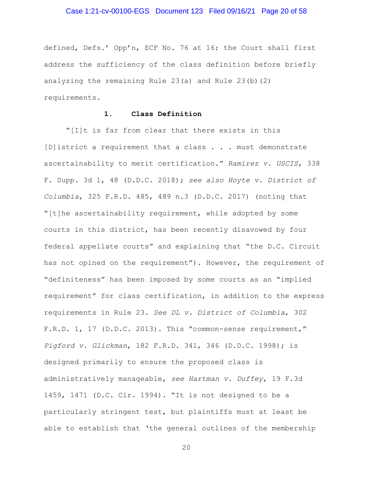#### Case 1:21-cv-00100-EGS Document 123 Filed 09/16/21 Page 20 of 58

defined, Defs.' Opp'n, ECF No. 76 at 16; the Court shall first address the sufficiency of the class definition before briefly analyzing the remaining Rule 23(a) and Rule 23(b)(2) requirements.

## **1. Class Definition**

"[I]t is far from clear that there exists in this [D]istrict a requirement that a class . . . must demonstrate ascertainability to merit certification." *Ramirez v. USCIS*, 338 F. Supp. 3d 1, 48 (D.D.C. 2018); *see also Hoyte v. District of Columbia*, 325 F.R.D. 485, 489 n.3 (D.D.C. 2017) (noting that "[t]he ascertainability requirement, while adopted by some courts in this district, has been recently disavowed by four federal appellate courts" and explaining that "the D.C. Circuit has not opined on the requirement"). However, the requirement of "definiteness" has been imposed by some courts as an "implied requirement" for class certification, in addition to the express requirements in Rule 23. *See DL v. District of Columbia*, 302 F.R.D. 1, 17 (D.D.C. 2013). This "common-sense requirement," *Pigford v. Glickman*, 182 F.R.D. 341, 346 (D.D.C. 1998); is designed primarily to ensure the proposed class is administratively manageable, *see Hartman v. Duffey*, 19 F.3d 1459, 1471 (D.C. Cir. 1994). "It is not designed to be a particularly stringent test, but plaintiffs must at least be able to establish that 'the general outlines of the membership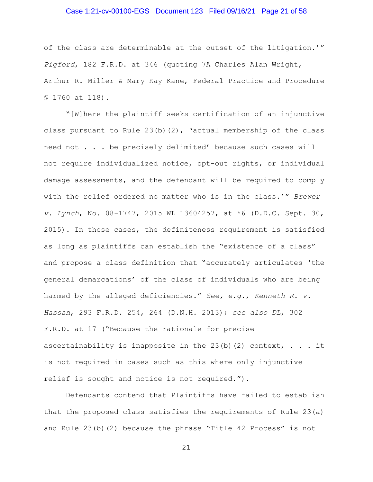## Case 1:21-cv-00100-EGS Document 123 Filed 09/16/21 Page 21 of 58

of the class are determinable at the outset of the litigation.'" *Pigford*, 182 F.R.D. at 346 (quoting 7A Charles Alan Wright, Arthur R. Miller & Mary Kay Kane, Federal Practice and Procedure § 1760 at 118).

"[W]here the plaintiff seeks certification of an injunctive class pursuant to Rule  $23(b)(2)$ , 'actual membership of the class need not . . . be precisely delimited' because such cases will not require individualized notice, opt-out rights, or individual damage assessments, and the defendant will be required to comply with the relief ordered no matter who is in the class.'" *Brewer v. Lynch*, No. 08-1747, 2015 WL 13604257, at \*6 (D.D.C. Sept. 30, 2015). In those cases, the definiteness requirement is satisfied as long as plaintiffs can establish the "existence of a class" and propose a class definition that "accurately articulates 'the general demarcations' of the class of individuals who are being harmed by the alleged deficiencies." *See, e.g.*, *Kenneth R. v. Hassan*, 293 F.R.D. 254, 264 (D.N.H. 2013); *see also DL*, 302 F.R.D. at 17 ("Because the rationale for precise ascertainability is inapposite in the  $23(b)(2)$  context, . . . it is not required in cases such as this where only injunctive relief is sought and notice is not required.").

Defendants contend that Plaintiffs have failed to establish that the proposed class satisfies the requirements of Rule 23(a) and Rule 23(b)(2) because the phrase "Title 42 Process" is not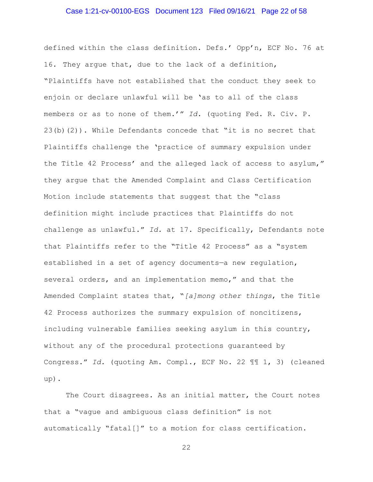## Case 1:21-cv-00100-EGS Document 123 Filed 09/16/21 Page 22 of 58

defined within the class definition. Defs.' Opp'n, ECF No. 76 at 16. They argue that, due to the lack of a definition, "Plaintiffs have not established that the conduct they seek to enjoin or declare unlawful will be 'as to all of the class members or as to none of them.'" *Id.* (quoting Fed. R. Civ. P. 23(b)(2)). While Defendants concede that "it is no secret that Plaintiffs challenge the 'practice of summary expulsion under the Title 42 Process' and the alleged lack of access to asylum," they argue that the Amended Complaint and Class Certification Motion include statements that suggest that the "class definition might include practices that Plaintiffs do not challenge as unlawful." *Id.* at 17. Specifically, Defendants note that Plaintiffs refer to the "Title 42 Process" as a "system established in a set of agency documents—a new regulation, several orders, and an implementation memo," and that the Amended Complaint states that, "*[a]mong other things*, the Title 42 Process authorizes the summary expulsion of noncitizens, including vulnerable families seeking asylum in this country, without any of the procedural protections guaranteed by Congress." *Id.* (quoting Am. Compl., ECF No. 22 ¶¶ 1, 3) (cleaned up).

The Court disagrees. As an initial matter, the Court notes that a "vague and ambiguous class definition" is not automatically "fatal[]" to a motion for class certification.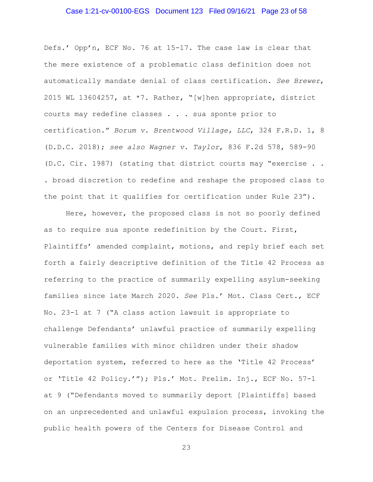## Case 1:21-cv-00100-EGS Document 123 Filed 09/16/21 Page 23 of 58

Defs.' Opp'n, ECF No. 76 at 15-17. The case law is clear that the mere existence of a problematic class definition does not automatically mandate denial of class certification. *See Brewer*, 2015 WL 13604257, at \*7. Rather, "[w]hen appropriate, district courts may redefine classes . . . sua sponte prior to certification." *Borum v. Brentwood Village, LLC*, 324 F.R.D. 1, 8 (D.D.C. 2018); *see also Wagner v. Taylor*, 836 F.2d 578, 589-90 (D.C. Cir. 1987) (stating that district courts may "exercise . . . broad discretion to redefine and reshape the proposed class to the point that it qualifies for certification under Rule 23").

Here, however, the proposed class is not so poorly defined as to require sua sponte redefinition by the Court. First, Plaintiffs' amended complaint, motions, and reply brief each set forth a fairly descriptive definition of the Title 42 Process as referring to the practice of summarily expelling asylum-seeking families since late March 2020. *See* Pls.' Mot. Class Cert., ECF No. 23-1 at 7 ("A class action lawsuit is appropriate to challenge Defendants' unlawful practice of summarily expelling vulnerable families with minor children under their shadow deportation system, referred to here as the 'Title 42 Process' or 'Title 42 Policy.'"); Pls.' Mot. Prelim. Inj., ECF No. 57-1 at 9 ("Defendants moved to summarily deport [Plaintiffs] based on an unprecedented and unlawful expulsion process, invoking the public health powers of the Centers for Disease Control and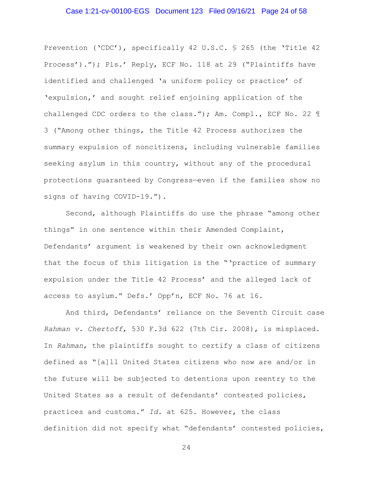#### Case 1:21-cv-00100-EGS Document 123 Filed 09/16/21 Page 24 of 58

Prevention ('CDC'), specifically 42 U.S.C. § 265 (the 'Title 42 Process')."); Pls.' Reply, ECF No. 118 at 29 ("Plaintiffs have identified and challenged 'a uniform policy or practice' of 'expulsion,' and sought relief enjoining application of the challenged CDC orders to the class."); Am. Compl., ECF No. 22 ¶ 3 ("Among other things, the Title 42 Process authorizes the summary expulsion of noncitizens, including vulnerable families seeking asylum in this country, without any of the procedural protections guaranteed by Congress—even if the families show no signs of having COVID-19.").

Second, although Plaintiffs do use the phrase "among other things" in one sentence within their Amended Complaint, Defendants' argument is weakened by their own acknowledgment that the focus of this litigation is the "'practice of summary expulsion under the Title 42 Process' and the alleged lack of access to asylum." Defs.' Opp'n, ECF No. 76 at 16.

And third, Defendants' reliance on the Seventh Circuit case *Rahman v. Chertoff*, 530 F.3d 622 (7th Cir. 2008), is misplaced. In *Rahman*, the plaintiffs sought to certify a class of citizens defined as "[a]ll United States citizens who now are and/or in the future will be subjected to detentions upon reentry to the United States as a result of defendants' contested policies, practices and customs." *Id.* at 625. However, the class definition did not specify what "defendants' contested policies,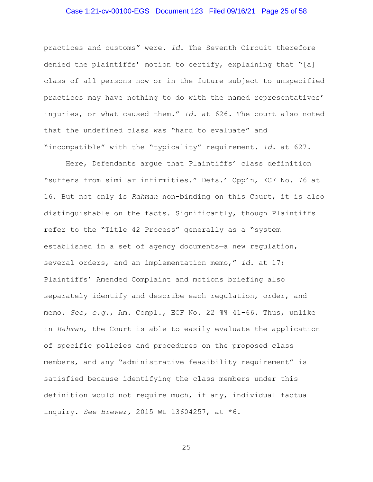## Case 1:21-cv-00100-EGS Document 123 Filed 09/16/21 Page 25 of 58

practices and customs" were. *Id.* The Seventh Circuit therefore denied the plaintiffs' motion to certify, explaining that "[a] class of all persons now or in the future subject to unspecified practices may have nothing to do with the named representatives' injuries, or what caused them." *Id.* at 626. The court also noted that the undefined class was "hard to evaluate" and "incompatible" with the "typicality" requirement. *Id.* at 627.

Here, Defendants argue that Plaintiffs' class definition "suffers from similar infirmities." Defs.' Opp'n, ECF No. 76 at 16. But not only is *Rahman* non-binding on this Court, it is also distinguishable on the facts. Significantly, though Plaintiffs refer to the "Title 42 Process" generally as a "system established in a set of agency documents—a new regulation, several orders, and an implementation memo," *id*. at 17; Plaintiffs' Amended Complaint and motions briefing also separately identify and describe each regulation, order, and memo. *See, e.g.*, Am. Compl., ECF No. 22 ¶¶ 41-66. Thus, unlike in *Rahman*, the Court is able to easily evaluate the application of specific policies and procedures on the proposed class members, and any "administrative feasibility requirement" is satisfied because identifying the class members under this definition would not require much, if any, individual factual inquiry. *See Brewer,* 2015 WL 13604257, at \*6.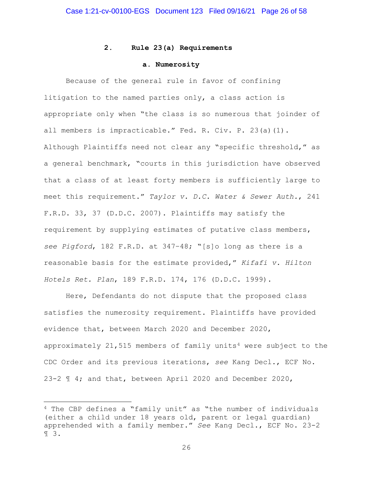## **2. Rule 23(a) Requirements**

#### **a. Numerosity**

Because of the general rule in favor of confining litigation to the named parties only, a class action is appropriate only when "the class is so numerous that joinder of all members is impracticable." Fed. R. Civ. P. 23(a)(1). Although Plaintiffs need not clear any "specific threshold," as a general benchmark, "courts in this jurisdiction have observed that a class of at least forty members is sufficiently large to meet this requirement." *Taylor v. D.C. Water & Sewer Auth.*, 241 F.R.D. 33, 37 (D.D.C. 2007). Plaintiffs may satisfy the requirement by supplying estimates of putative class members, *see Pigford*, 182 F.R.D. at 347–48; "[s]o long as there is a reasonable basis for the estimate provided," *Kifafi v. Hilton Hotels Ret. Plan*, 189 F.R.D. 174, 176 (D.D.C. 1999).

Here, Defendants do not dispute that the proposed class satisfies the numerosity requirement. Plaintiffs have provided evidence that, between March 2020 and December 2020, approximately  $21,515$  members of family units<sup>4</sup> were subject to the CDC Order and its previous iterations, *see* Kang Decl., ECF No. 23-2 ¶ 4; and that, between April 2020 and December 2020,

<sup>4</sup> The CBP defines a "family unit" as "the number of individuals (either a child under 18 years old, parent or legal guardian) apprehended with a family member." *See* Kang Decl., ECF No. 23-2 ¶ 3.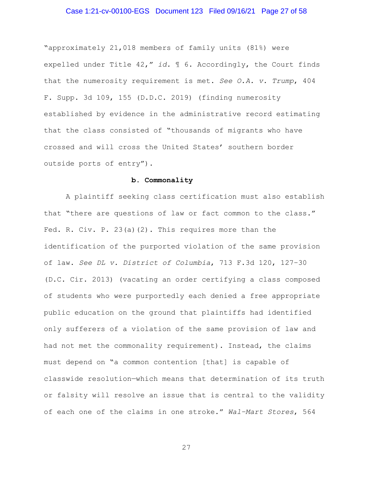## Case 1:21-cv-00100-EGS Document 123 Filed 09/16/21 Page 27 of 58

"approximately 21,018 members of family units (81%) were expelled under Title 42," *id.* ¶ 6. Accordingly, the Court finds that the numerosity requirement is met. *See O.A. v. Trump*, 404 F. Supp. 3d 109, 155 (D.D.C. 2019) (finding numerosity established by evidence in the administrative record estimating that the class consisted of "thousands of migrants who have crossed and will cross the United States' southern border outside ports of entry").

## **b. Commonality**

A plaintiff seeking class certification must also establish that "there are questions of law or fact common to the class." Fed. R. Civ. P. 23(a)(2). This requires more than the identification of the purported violation of the same provision of law. *See DL v. District of Columbia*, 713 F.3d 120, 127–30 (D.C. Cir. 2013) (vacating an order certifying a class composed of students who were purportedly each denied a free appropriate public education on the ground that plaintiffs had identified only sufferers of a violation of the same provision of law and had not met the commonality requirement). Instead, the claims must depend on "a common contention [that] is capable of classwide resolution—which means that determination of its truth or falsity will resolve an issue that is central to the validity of each one of the claims in one stroke." *Wal–Mart Stores*, 564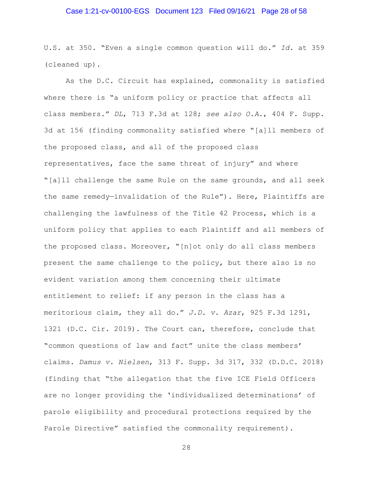## Case 1:21-cv-00100-EGS Document 123 Filed 09/16/21 Page 28 of 58

U.S. at 350. "Even a single common question will do." *Id.* at 359 (cleaned up).

As the D.C. Circuit has explained, commonality is satisfied where there is "a uniform policy or practice that affects all class members." *DL*, 713 F.3d at 128; *see also O.A.*, 404 F. Supp. 3d at 156 (finding commonality satisfied where "[a]ll members of the proposed class, and all of the proposed class representatives, face the same threat of injury" and where "[a]ll challenge the same Rule on the same grounds, and all seek the same remedy—invalidation of the Rule"). Here, Plaintiffs are challenging the lawfulness of the Title 42 Process, which is a uniform policy that applies to each Plaintiff and all members of the proposed class. Moreover, "[n]ot only do all class members present the same challenge to the policy, but there also is no evident variation among them concerning their ultimate entitlement to relief: if any person in the class has a meritorious claim, they all do." *J.D. v. Azar*, 925 F.3d 1291, 1321 (D.C. Cir. 2019). The Court can, therefore, conclude that "common questions of law and fact" unite the class members' claims. *Damus v. Nielsen*, 313 F. Supp. 3d 317, 332 (D.D.C. 2018) (finding that "the allegation that the five ICE Field Officers are no longer providing the 'individualized determinations' of parole eligibility and procedural protections required by the Parole Directive" satisfied the commonality requirement).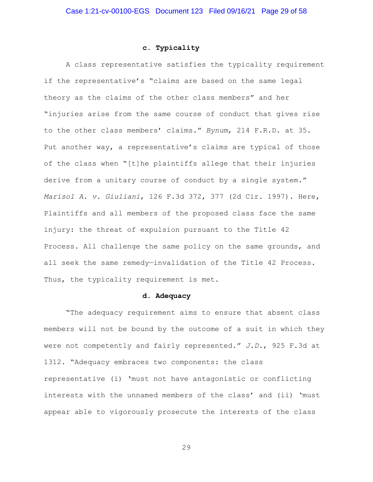## **c. Typicality**

A class representative satisfies the typicality requirement if the representative's "claims are based on the same legal theory as the claims of the other class members" and her "injuries arise from the same course of conduct that gives rise to the other class members' claims." *Bynum*, 214 F.R.D. at 35. Put another way, a representative's claims are typical of those of the class when "[t]he plaintiffs allege that their injuries derive from a unitary course of conduct by a single system." *Marisol A. v. Giuliani*, 126 F.3d 372, 377 (2d Cir. 1997). Here, Plaintiffs and all members of the proposed class face the same injury: the threat of expulsion pursuant to the Title 42 Process. All challenge the same policy on the same grounds, and all seek the same remedy—invalidation of the Title 42 Process. Thus, the typicality requirement is met.

#### **d. Adequacy**

"The adequacy requirement aims to ensure that absent class members will not be bound by the outcome of a suit in which they were not competently and fairly represented." *J.D.*, 925 F.3d at 1312. "Adequacy embraces two components: the class representative (i) 'must not have antagonistic or conflicting interests with the unnamed members of the class' and (ii) 'must appear able to vigorously prosecute the interests of the class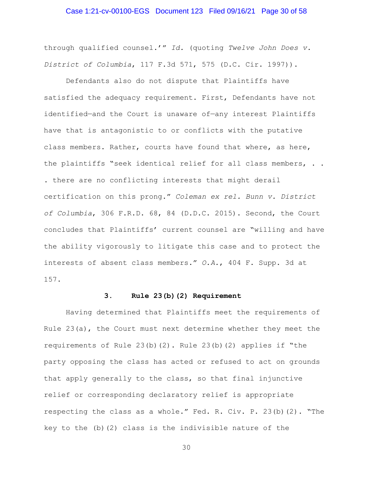#### Case 1:21-cv-00100-EGS Document 123 Filed 09/16/21 Page 30 of 58

through qualified counsel.'" *Id.* (quoting *Twelve John Does v. District of Columbia*, 117 F.3d 571, 575 (D.C. Cir. 1997)).

Defendants also do not dispute that Plaintiffs have satisfied the adequacy requirement. First, Defendants have not identified—and the Court is unaware of—any interest Plaintiffs have that is antagonistic to or conflicts with the putative class members. Rather, courts have found that where, as here, the plaintiffs "seek identical relief for all class members, . . . there are no conflicting interests that might derail certification on this prong." *Coleman ex rel. Bunn v. District of Columbia*, 306 F.R.D. 68, 84 (D.D.C. 2015). Second, the Court concludes that Plaintiffs' current counsel are "willing and have the ability vigorously to litigate this case and to protect the interests of absent class members." *O.A.*, 404 F. Supp. 3d at 157.

#### **3. Rule 23(b)(2) Requirement**

Having determined that Plaintiffs meet the requirements of Rule 23(a), the Court must next determine whether they meet the requirements of Rule  $23(b)(2)$ . Rule  $23(b)(2)$  applies if "the party opposing the class has acted or refused to act on grounds that apply generally to the class, so that final injunctive relief or corresponding declaratory relief is appropriate respecting the class as a whole." Fed. R. Civ. P. 23(b)(2). "The key to the (b)(2) class is the indivisible nature of the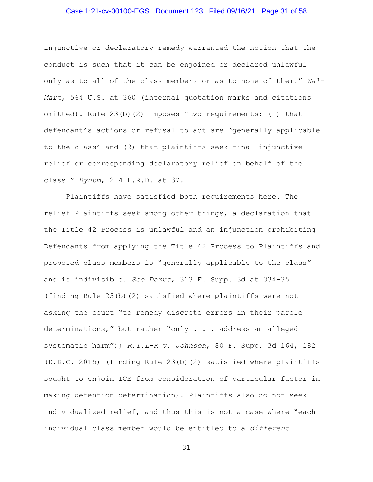#### Case 1:21-cv-00100-EGS Document 123 Filed 09/16/21 Page 31 of 58

injunctive or declaratory remedy warranted—the notion that the conduct is such that it can be enjoined or declared unlawful only as to all of the class members or as to none of them." *Wal-Mart*, 564 U.S. at 360 (internal quotation marks and citations omitted). Rule 23(b)(2) imposes "two requirements: (1) that defendant's actions or refusal to act are 'generally applicable to the class' and (2) that plaintiffs seek final injunctive relief or corresponding declaratory relief on behalf of the class." *Bynum*, 214 F.R.D. at 37.

Plaintiffs have satisfied both requirements here. The relief Plaintiffs seek—among other things, a declaration that the Title 42 Process is unlawful and an injunction prohibiting Defendants from applying the Title 42 Process to Plaintiffs and proposed class members—is "generally applicable to the class" and is indivisible. *See Damus*, 313 F. Supp. 3d at 334–35 (finding Rule 23(b)(2) satisfied where plaintiffs were not asking the court "to remedy discrete errors in their parole determinations," but rather "only . . . address an alleged systematic harm"); *R.I.L-R v. Johnson*, 80 F. Supp. 3d 164, 182 (D.D.C. 2015) (finding Rule 23(b)(2) satisfied where plaintiffs sought to enjoin ICE from consideration of particular factor in making detention determination). Plaintiffs also do not seek individualized relief, and thus this is not a case where "each individual class member would be entitled to a *different*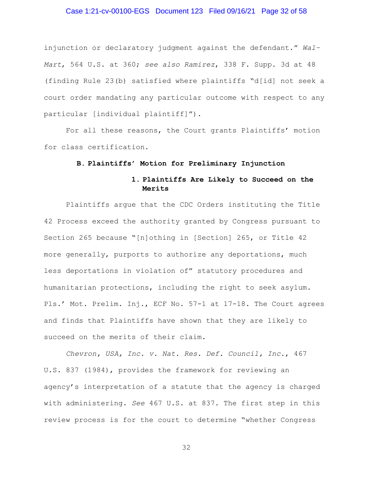## Case 1:21-cv-00100-EGS Document 123 Filed 09/16/21 Page 32 of 58

injunction or declaratory judgment against the defendant." *Wal– Mart*, 564 U.S. at 360; *see also Ramirez*, 338 F. Supp. 3d at 48 (finding Rule 23(b) satisfied where plaintiffs "d[id] not seek a court order mandating any particular outcome with respect to any particular [individual plaintiff]").

For all these reasons, the Court grants Plaintiffs' motion for class certification.

#### **B. Plaintiffs' Motion for Preliminary Injunction**

# **1. Plaintiffs Are Likely to Succeed on the Merits**

Plaintiffs argue that the CDC Orders instituting the Title 42 Process exceed the authority granted by Congress pursuant to Section 265 because "[n]othing in [Section] 265, or Title 42 more generally, purports to authorize any deportations, much less deportations in violation of" statutory procedures and humanitarian protections, including the right to seek asylum. Pls.' Mot. Prelim. Inj., ECF No. 57-1 at 17-18. The Court agrees and finds that Plaintiffs have shown that they are likely to succeed on the merits of their claim.

*Chevron, USA, Inc. v. Nat. Res. Def. Council, Inc.*, 467 U.S. 837 (1984), provides the framework for reviewing an agency's interpretation of a statute that the agency is charged with administering. *See* 467 U.S. at 837. The first step in this review process is for the court to determine "whether Congress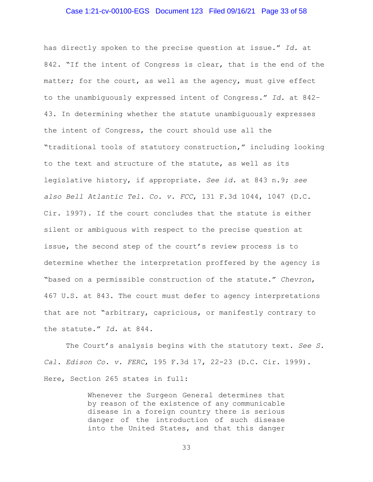#### Case 1:21-cv-00100-EGS Document 123 Filed 09/16/21 Page 33 of 58

has directly spoken to the precise question at issue." *Id.* at 842. "If the intent of Congress is clear, that is the end of the matter; for the court, as well as the agency, must give effect to the unambiguously expressed intent of Congress." *Id.* at 842– 43. In determining whether the statute unambiguously expresses the intent of Congress, the court should use all the "traditional tools of statutory construction," including looking to the text and structure of the statute, as well as its legislative history, if appropriate. *See id.* at 843 n.9; *see also Bell Atlantic Tel. Co. v. FCC*, 131 F.3d 1044, 1047 (D.C. Cir. 1997). If the court concludes that the statute is either silent or ambiguous with respect to the precise question at issue, the second step of the court's review process is to determine whether the interpretation proffered by the agency is "based on a permissible construction of the statute." *Chevron*, 467 U.S. at 843. The court must defer to agency interpretations that are not "arbitrary, capricious, or manifestly contrary to the statute." *Id.* at 844.

The Court's analysis begins with the statutory text*. See S. Cal. Edison Co. v. FERC*, 195 F.3d 17, 22-23 (D.C. Cir. 1999). Here, Section 265 states in full:

> Whenever the Surgeon General determines that by reason of the existence of any communicable disease in a foreign country there is serious danger of the introduction of such disease into the United States, and that this danger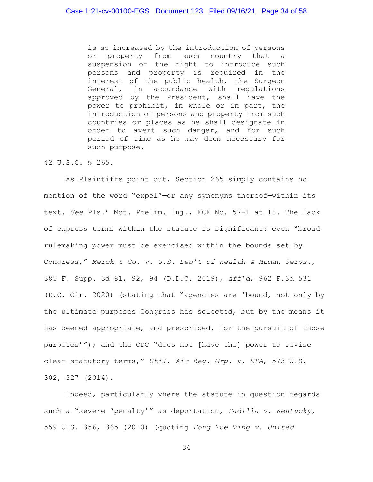is so increased by the introduction of persons or property from such country that a suspension of the right to introduce such persons and property is required in the interest of the public health, the Surgeon General, in accordance with regulations approved by the President, shall have the power to prohibit, in whole or in part, the introduction of persons and property from such countries or places as he shall designate in order to avert such danger, and for such period of time as he may deem necessary for such purpose.

#### 42 U.S.C. § 265.

As Plaintiffs point out, Section 265 simply contains no mention of the word "expel"—or any synonyms thereof—within its text. *See* Pls.' Mot. Prelim. Inj., ECF No. 57-1 at 18. The lack of express terms within the statute is significant: even "broad rulemaking power must be exercised within the bounds set by Congress," *Merck & Co. v. U.S. Dep't of Health & Human Servs.*, 385 F. Supp. 3d 81, 92, 94 (D.D.C. 2019), *aff'd*, 962 F.3d 531 (D.C. Cir. 2020) (stating that "agencies are 'bound, not only by the ultimate purposes Congress has selected, but by the means it has deemed appropriate, and prescribed, for the pursuit of those purposes'"); and the CDC "does not [have the] power to revise clear statutory terms," *Util. Air Reg. Grp. v. EPA*, 573 U.S. 302, 327 (2014).

Indeed, particularly where the statute in question regards such a "severe 'penalty'" as deportation, *Padilla v. Kentucky*, 559 U.S. 356, 365 (2010) (quoting *Fong Yue Ting v. United*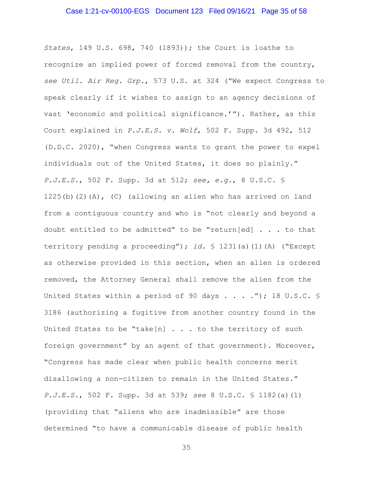#### Case 1:21-cv-00100-EGS Document 123 Filed 09/16/21 Page 35 of 58

*States*, 149 U.S. 698, 740 (1893)); the Court is loathe to recognize an implied power of forced removal from the country, *see Util. Air Reg. Grp.*, 573 U.S. at 324 ("We expect Congress to speak clearly if it wishes to assign to an agency decisions of vast 'economic and political significance.'"). Rather, as this Court explained in *P.J.E.S. v. Wolf*, 502 F. Supp. 3d 492, 512 (D.D.C. 2020), "when Congress wants to grant the power to expel individuals out of the United States, it does so plainly." *P.J.E.S.*, 502 F. Supp. 3d at 512; *see, e.g.*, 8 U.S.C. § 1225(b)(2)(A), (C) (allowing an alien who has arrived on land from a contiguous country and who is "not clearly and beyond a doubt entitled to be admitted" to be "return[ed] . . . to that territory pending a proceeding"); *id.* § 1231(a)(1)(A) ("Except as otherwise provided in this section, when an alien is ordered removed, the Attorney General shall remove the alien from the United States within a period of 90 days . . . ."); 18 U.S.C. § 3186 (authorizing a fugitive from another country found in the United States to be "take[n]  $\ldots$  . to the territory of such foreign government" by an agent of that government). Moreover, "Congress has made clear when public health concerns merit disallowing a non-citizen to remain in the United States." *P.J.E.S.*, 502 F. Supp. 3d at 539; *see* 8 U.S.C. § 1182(a)(1) (providing that "aliens who are inadmissible" are those determined "to have a communicable disease of public health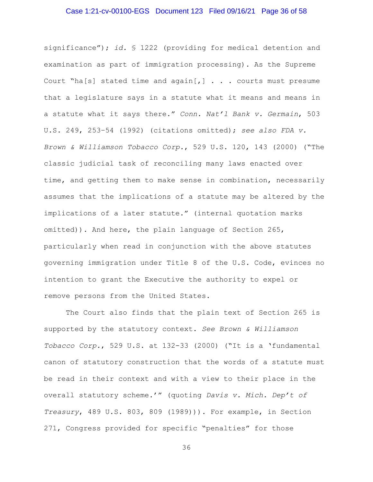#### Case 1:21-cv-00100-EGS Document 123 Filed 09/16/21 Page 36 of 58

significance"); *id.* § 1222 (providing for medical detention and examination as part of immigration processing). As the Supreme Court "ha[s] stated time and  $aqain$ [,]  $\ldots$  . courts must presume that a legislature says in a statute what it means and means in a statute what it says there." *Conn. Nat'l Bank v. Germain*, 503 U.S. 249, 253–54 (1992) (citations omitted); *see also FDA v. Brown & Williamson Tobacco Corp.*, 529 U.S. 120, 143 (2000) ("The classic judicial task of reconciling many laws enacted over time, and getting them to make sense in combination, necessarily assumes that the implications of a statute may be altered by the implications of a later statute." (internal quotation marks omitted)). And here, the plain language of Section 265, particularly when read in conjunction with the above statutes governing immigration under Title 8 of the U.S. Code, evinces no intention to grant the Executive the authority to expel or remove persons from the United States.

The Court also finds that the plain text of Section 265 is supported by the statutory context. *See Brown & Williamson Tobacco Corp.*, 529 U.S. at 132-33 (2000) ("It is a 'fundamental canon of statutory construction that the words of a statute must be read in their context and with a view to their place in the overall statutory scheme.'" (quoting *Davis v. Mich. Dep't of Treasury*, 489 U.S. 803, 809 (1989))). For example, in Section 271, Congress provided for specific "penalties" for those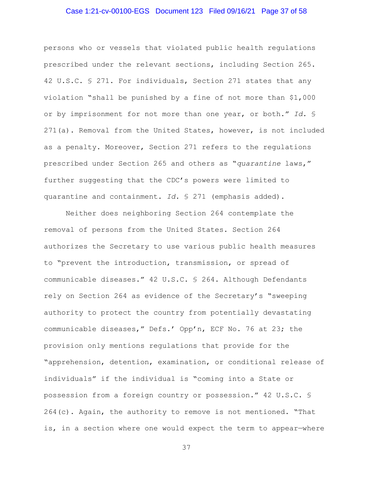## Case 1:21-cv-00100-EGS Document 123 Filed 09/16/21 Page 37 of 58

persons who or vessels that violated public health regulations prescribed under the relevant sections, including Section 265. 42 U.S.C. § 271. For individuals, Section 271 states that any violation "shall be punished by a fine of not more than \$1,000 or by imprisonment for not more than one year, or both." *Id.* § 271(a). Removal from the United States, however, is not included as a penalty. Moreover, Section 271 refers to the regulations prescribed under Section 265 and others as "*quarantine* laws," further suggesting that the CDC's powers were limited to quarantine and containment. *Id.* § 271 (emphasis added).

Neither does neighboring Section 264 contemplate the removal of persons from the United States. Section 264 authorizes the Secretary to use various public health measures to "prevent the introduction, transmission, or spread of communicable diseases." 42 U.S.C. § 264. Although Defendants rely on Section 264 as evidence of the Secretary's "sweeping authority to protect the country from potentially devastating communicable diseases," Defs.' Opp'n, ECF No. 76 at 23; the provision only mentions regulations that provide for the "apprehension, detention, examination, or conditional release of individuals" if the individual is "coming into a State or possession from a foreign country or possession." 42 U.S.C. § 264(c). Again, the authority to remove is not mentioned. "That is, in a section where one would expect the term to appear—where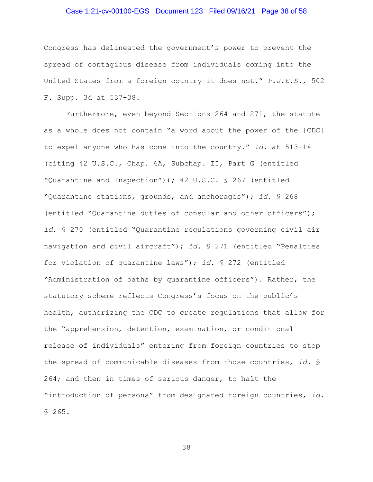## Case 1:21-cv-00100-EGS Document 123 Filed 09/16/21 Page 38 of 58

Congress has delineated the government's power to prevent the spread of contagious disease from individuals coming into the United States from a foreign country—it does not." *P.J.E.S.*, 502 F. Supp. 3d at 537-38.

Furthermore, even beyond Sections 264 and 271, the statute as a whole does not contain "a word about the power of the [CDC] to expel anyone who has come into the country." *Id.* at 513-14 (citing 42 U.S.C., Chap. 6A, Subchap. II, Part G (entitled "Quarantine and Inspection")); 42 U.S.C. § 267 (entitled "Quarantine stations, grounds, and anchorages"); *id.* § 268 (entitled "Quarantine duties of consular and other officers"); *id.* § 270 (entitled "Quarantine regulations governing civil air navigation and civil aircraft"); *id.* § 271 (entitled "Penalties for violation of quarantine laws"); *id.* § 272 (entitled "Administration of oaths by quarantine officers"). Rather, the statutory scheme reflects Congress's focus on the public's health, authorizing the CDC to create regulations that allow for the "apprehension, detention, examination, or conditional release of individuals" entering from foreign countries to stop the spread of communicable diseases from those countries, *id.* § 264; and then in times of serious danger, to halt the "introduction of persons" from designated foreign countries, *id.* § 265.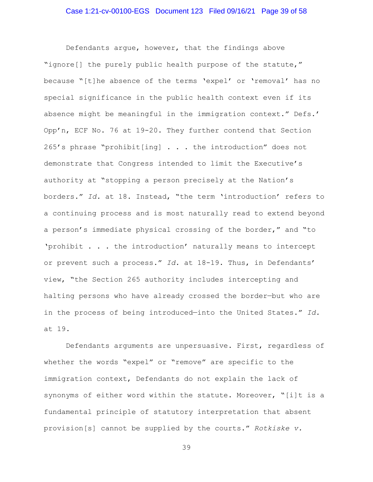Defendants argue, however, that the findings above "ignore[] the purely public health purpose of the statute," because "[t]he absence of the terms 'expel' or 'removal' has no special significance in the public health context even if its absence might be meaningful in the immigration context." Defs.' Opp'n, ECF No. 76 at 19-20. They further contend that Section 265's phrase "prohibit[ing] . . . the introduction" does not demonstrate that Congress intended to limit the Executive's authority at "stopping a person precisely at the Nation's borders." *Id.* at 18. Instead, "the term 'introduction' refers to a continuing process and is most naturally read to extend beyond a person's immediate physical crossing of the border," and "to 'prohibit . . . the introduction' naturally means to intercept or prevent such a process." *Id.* at 18-19. Thus, in Defendants' view, "the Section 265 authority includes intercepting and halting persons who have already crossed the border—but who are in the process of being introduced—into the United States." *Id.* at 19.

Defendants arguments are unpersuasive. First, regardless of whether the words "expel" or "remove" are specific to the immigration context, Defendants do not explain the lack of synonyms of either word within the statute. Moreover, "[i]t is a fundamental principle of statutory interpretation that absent provision[s] cannot be supplied by the courts." *Rotkiske v.*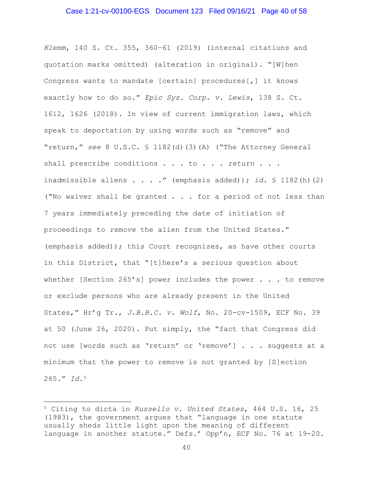## Case 1:21-cv-00100-EGS Document 123 Filed 09/16/21 Page 40 of 58

*Klemm*, 140 S. Ct. 355, 360–61 (2019) (internal citations and quotation marks omitted) (alteration in original). "[W]hen Congress wants to mandate [certain] procedures[,] it knows exactly how to do so." *Epic Sys. Corp. v. Lewis*, 138 S. Ct. 1612, 1626 (2018). In view of current immigration laws, which speak to deportation by using words such as "remove" and "return," *see* 8 U.S.C. § 1182(d)(3)(A) ("The Attorney General shall prescribe conditions . . . to . . . *return* . . . inadmissible aliens . . . ." (emphasis added)); *id.* § 1182(h)(2) ("No waiver shall be granted . . . for a period of not less than 7 years immediately preceding the date of initiation of proceedings to *remove* the alien from the United States." (emphasis added)); this Court recognizes, as have other courts in this District, that "[t]here's a serious question about whether [Section 265's] power includes the power . . . to remove or exclude persons who are already present in the United States," Hr'g Tr., *J.B.B.C. v. Wolf*, No. 20-cv-1509, ECF No. 39 at 50 (June 26, 2020). Put simply, the "fact that Congress did not use [words such as 'return' or 'remove'] . . . suggests at a minimum that the power to remove is not granted by [S]ection 265." *Id.*<sup>5</sup>

<sup>5</sup> Citing to dicta in *Russello v. United States*, 464 U.S. 16, 25 (1983), the government argues that "language in one statute usually sheds little light upon the meaning of different language in another statute." Defs.' Opp'n, ECF No. 76 at 19-20.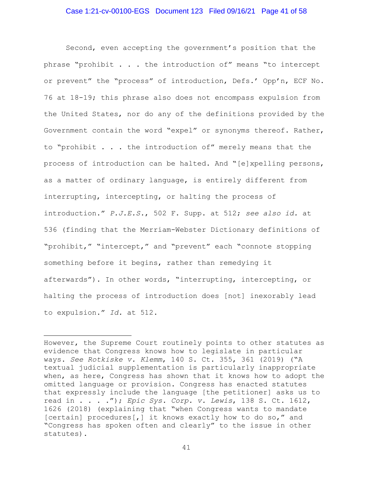## Case 1:21-cv-00100-EGS Document 123 Filed 09/16/21 Page 41 of 58

Second, even accepting the government's position that the phrase "prohibit . . . the introduction of" means "to intercept or prevent" the "process" of introduction, Defs.' Opp'n, ECF No. 76 at 18-19; this phrase also does not encompass expulsion from the United States, nor do any of the definitions provided by the Government contain the word "expel" or synonyms thereof. Rather, to "prohibit . . . the introduction of" merely means that the process of introduction can be halted. And "[e]xpelling persons, as a matter of ordinary language, is entirely different from interrupting, intercepting, or halting the process of introduction." *P.J.E.S.*, 502 F. Supp. at 512; *see also id.* at 536 (finding that the Merriam-Webster Dictionary definitions of "prohibit," "intercept," and "prevent" each "connote stopping something before it begins, rather than remedying it afterwards"). In other words, "interrupting, intercepting, or halting the process of introduction does [not] inexorably lead to expulsion." *Id.* at 512.

However, the Supreme Court routinely points to other statutes as evidence that Congress knows how to legislate in particular ways. *See Rotkiske v. Klemm*, 140 S. Ct. 355, 361 (2019) ("A textual judicial supplementation is particularly inappropriate when, as here, Congress has shown that it knows how to adopt the omitted language or provision. Congress has enacted statutes that expressly include the language [the petitioner] asks us to read in . . . ."); *Epic Sys. Corp. v. Lewis*, 138 S. Ct. 1612, 1626 (2018) (explaining that "when Congress wants to mandate [certain] procedures[,] it knows exactly how to do so," and "Congress has spoken often and clearly" to the issue in other statutes).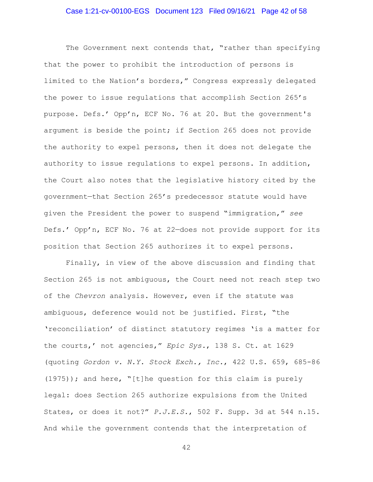#### Case 1:21-cv-00100-EGS Document 123 Filed 09/16/21 Page 42 of 58

The Government next contends that, "rather than specifying that the power to prohibit the introduction of persons is limited to the Nation's borders," Congress expressly delegated the power to issue regulations that accomplish Section 265's purpose. Defs.' Opp'n, ECF No. 76 at 20. But the government's argument is beside the point; if Section 265 does not provide the authority to expel persons, then it does not delegate the authority to issue regulations to expel persons. In addition, the Court also notes that the legislative history cited by the government—that Section 265's predecessor statute would have given the President the power to suspend "immigration," *see*  Defs.' Opp'n, ECF No. 76 at 22—does not provide support for its position that Section 265 authorizes it to expel persons.

Finally, in view of the above discussion and finding that Section 265 is not ambiguous, the Court need not reach step two of the *Chevron* analysis. However, even if the statute was ambiguous, deference would not be justified. First, "the 'reconciliation' of distinct statutory regimes 'is a matter for the courts,' not agencies," *Epic Sys.*, 138 S. Ct. at 1629 (quoting *Gordon v. N.Y. Stock Exch., Inc.*, 422 U.S. 659, 685-86  $(1975)$ ); and here, "[t]he question for this claim is purely legal: does Section 265 authorize expulsions from the United States, or does it not?" *P.J.E.S.*, 502 F. Supp. 3d at 544 n.15. And while the government contends that the interpretation of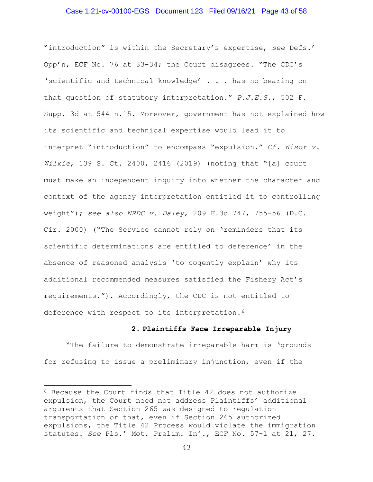#### Case 1:21-cv-00100-EGS Document 123 Filed 09/16/21 Page 43 of 58

"introduction" is within the Secretary's expertise, *see* Defs.' Opp'n, ECF No. 76 at 33-34; the Court disagrees. "The CDC's 'scientific and technical knowledge' . . . has no bearing on that question of statutory interpretation." *P.J.E.S.*, 502 F. Supp. 3d at 544 n.15. Moreover, government has not explained how its scientific and technical expertise would lead it to interpret "introduction" to encompass "expulsion." *Cf. Kisor v. Wilkie*, 139 S. Ct. 2400, 2416 (2019) (noting that "[a] court must make an independent inquiry into whether the character and context of the agency interpretation entitled it to controlling weight"); *see also NRDC v. Daley*, 209 F.3d 747, 755-56 (D.C. Cir. 2000) ("The Service cannot rely on 'reminders that its scientific determinations are entitled to deference' in the absence of reasoned analysis 'to cogently explain' why its additional recommended measures satisfied the Fishery Act's requirements."). Accordingly, the CDC is not entitled to deference with respect to its interpretation.<sup>6</sup>

#### **2. Plaintiffs Face Irreparable Injury**

"The failure to demonstrate irreparable harm is 'grounds for refusing to issue a preliminary injunction, even if the

<sup>6</sup> Because the Court finds that Title 42 does not authorize expulsion, the Court need not address Plaintiffs' additional arguments that Section 265 was designed to regulation transportation or that, even if Section 265 authorized expulsions, the Title 42 Process would violate the immigration statutes. *See* Pls.' Mot. Prelim. Inj., ECF No. 57-1 at 21, 27.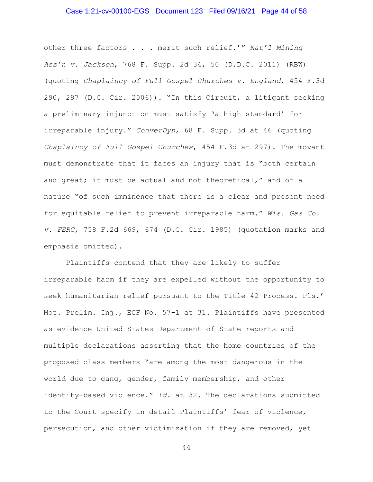## Case 1:21-cv-00100-EGS Document 123 Filed 09/16/21 Page 44 of 58

other three factors . . . merit such relief.'" *Nat'l Mining Ass'n v. Jackson*, 768 F. Supp. 2d 34, 50 (D.D.C. 2011) (RBW) (quoting *Chaplaincy of Full Gospel Churches v. England*, 454 F.3d 290, 297 (D.C. Cir. 2006)). "In this Circuit, a litigant seeking a preliminary injunction must satisfy 'a high standard' for irreparable injury." *ConverDyn*, 68 F. Supp. 3d at 46 (quoting *Chaplaincy of Full Gospel Churches*, 454 F.3d at 297). The movant must demonstrate that it faces an injury that is "both certain and great; it must be actual and not theoretical," and of a nature "of such imminence that there is a clear and present need for equitable relief to prevent irreparable harm." *Wis. Gas Co. v. FERC*, 758 F.2d 669, 674 (D.C. Cir. 1985) (quotation marks and emphasis omitted).

Plaintiffs contend that they are likely to suffer irreparable harm if they are expelled without the opportunity to seek humanitarian relief pursuant to the Title 42 Process. Pls.' Mot. Prelim. Inj., ECF No. 57-1 at 31. Plaintiffs have presented as evidence United States Department of State reports and multiple declarations asserting that the home countries of the proposed class members "are among the most dangerous in the world due to gang, gender, family membership, and other identity-based violence." *Id.* at 32. The declarations submitted to the Court specify in detail Plaintiffs' fear of violence, persecution, and other victimization if they are removed, yet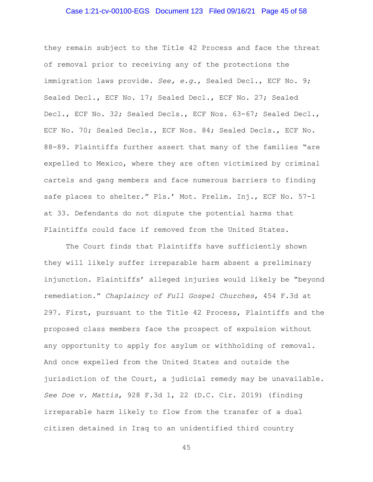#### Case 1:21-cv-00100-EGS Document 123 Filed 09/16/21 Page 45 of 58

they remain subject to the Title 42 Process and face the threat of removal prior to receiving any of the protections the immigration laws provide. *See, e.g.*, Sealed Decl., ECF No. 9; Sealed Decl., ECF No. 17; Sealed Decl., ECF No. 27; Sealed Decl., ECF No. 32; Sealed Decls., ECF Nos. 63-67; Sealed Decl., ECF No. 70; Sealed Decls., ECF Nos. 84; Sealed Decls., ECF No. 88-89. Plaintiffs further assert that many of the families "are expelled to Mexico, where they are often victimized by criminal cartels and gang members and face numerous barriers to finding safe places to shelter." Pls.' Mot. Prelim. Inj., ECF No. 57-1 at 33. Defendants do not dispute the potential harms that Plaintiffs could face if removed from the United States.

The Court finds that Plaintiffs have sufficiently shown they will likely suffer irreparable harm absent a preliminary injunction. Plaintiffs' alleged injuries would likely be "beyond remediation." *Chaplaincy of Full Gospel Churches*, 454 F.3d at 297. First, pursuant to the Title 42 Process, Plaintiffs and the proposed class members face the prospect of expulsion without any opportunity to apply for asylum or withholding of removal. And once expelled from the United States and outside the jurisdiction of the Court, a judicial remedy may be unavailable. *See Doe v. Mattis*, 928 F.3d 1, 22 (D.C. Cir. 2019) (finding irreparable harm likely to flow from the transfer of a dual citizen detained in Iraq to an unidentified third country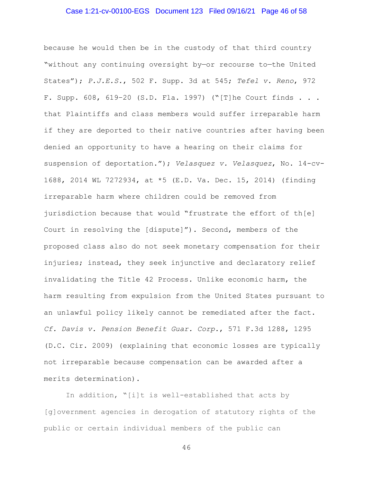## Case 1:21-cv-00100-EGS Document 123 Filed 09/16/21 Page 46 of 58

because he would then be in the custody of that third country "without any continuing oversight by—or recourse to—the United States"); *P.J.E.S.*, 502 F. Supp. 3d at 545; *Tefel v. Reno*, 972 F. Supp. 608, 619–20 (S.D. Fla. 1997) ("[T]he Court finds . . . that Plaintiffs and class members would suffer irreparable harm if they are deported to their native countries after having been denied an opportunity to have a hearing on their claims for suspension of deportation."); *Velasquez v. Velasquez*, No. 14-cv-1688, 2014 WL 7272934, at \*5 (E.D. Va. Dec. 15, 2014) (finding irreparable harm where children could be removed from jurisdiction because that would "frustrate the effort of th[e] Court in resolving the [dispute]"). Second, members of the proposed class also do not seek monetary compensation for their injuries; instead, they seek injunctive and declaratory relief invalidating the Title 42 Process. Unlike economic harm, the harm resulting from expulsion from the United States pursuant to an unlawful policy likely cannot be remediated after the fact. *Cf. Davis v. Pension Benefit Guar. Corp.*, 571 F.3d 1288, 1295 (D.C. Cir. 2009) (explaining that economic losses are typically not irreparable because compensation can be awarded after a merits determination).

In addition, "[i]t is well-established that acts by [g]overnment agencies in derogation of statutory rights of the public or certain individual members of the public can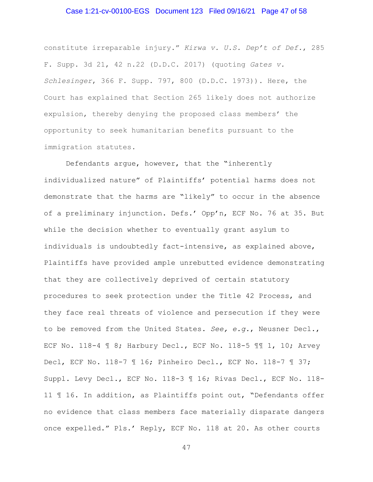## Case 1:21-cv-00100-EGS Document 123 Filed 09/16/21 Page 47 of 58

constitute irreparable injury." *Kirwa v. U.S. Dep't of Def.*, 285 F. Supp. 3d 21, 42 n.22 (D.D.C. 2017) (quoting *Gates v. Schlesinger*, 366 F. Supp. 797, 800 (D.D.C. 1973)). Here, the Court has explained that Section 265 likely does not authorize expulsion, thereby denying the proposed class members' the opportunity to seek humanitarian benefits pursuant to the immigration statutes.

Defendants argue, however, that the "inherently individualized nature" of Plaintiffs' potential harms does not demonstrate that the harms are "likely" to occur in the absence of a preliminary injunction. Defs.' Opp'n, ECF No. 76 at 35. But while the decision whether to eventually grant asylum to individuals is undoubtedly fact-intensive, as explained above, Plaintiffs have provided ample unrebutted evidence demonstrating that they are collectively deprived of certain statutory procedures to seek protection under the Title 42 Process, and they face real threats of violence and persecution if they were to be removed from the United States. *See, e.g.*, Neusner Decl., ECF No. 118-4 ¶ 8; Harbury Decl., ECF No. 118-5 ¶¶ 1, 10; Arvey Decl, ECF No. 118-7 ¶ 16; Pinheiro Decl., ECF No. 118-7 ¶ 37; Suppl. Levy Decl., ECF No. 118-3 ¶ 16; Rivas Decl., ECF No. 118- 11 ¶ 16. In addition, as Plaintiffs point out, "Defendants offer no evidence that class members face materially disparate dangers once expelled." Pls.' Reply, ECF No. 118 at 20. As other courts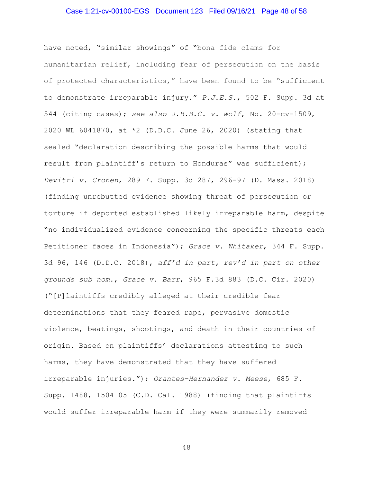#### Case 1:21-cv-00100-EGS Document 123 Filed 09/16/21 Page 48 of 58

have noted, "similar showings" of "bona fide clams for humanitarian relief, including fear of persecution on the basis of protected characteristics," have been found to be "sufficient to demonstrate irreparable injury." *P.J.E.S.*, 502 F. Supp. 3d at 544 (citing cases); *see also J.B.B.C. v. Wolf*, No. 20-cv-1509, 2020 WL 6041870, at \*2 (D.D.C. June 26, 2020) (stating that sealed "declaration describing the possible harms that would result from plaintiff's return to Honduras" was sufficient); *Devitri v. Cronen*, 289 F. Supp. 3d 287, 296-97 (D. Mass. 2018) (finding unrebutted evidence showing threat of persecution or torture if deported established likely irreparable harm, despite "no individualized evidence concerning the specific threats each Petitioner faces in Indonesia"); *Grace v. Whitaker*, 344 F. Supp. 3d 96, 146 (D.D.C. 2018), *aff'd in part, rev'd in part on other grounds sub nom.*, *Grace v. Barr*, 965 F.3d 883 (D.C. Cir. 2020) ("[P]laintiffs credibly alleged at their credible fear determinations that they feared rape, pervasive domestic violence, beatings, shootings, and death in their countries of origin. Based on plaintiffs' declarations attesting to such harms, they have demonstrated that they have suffered irreparable injuries."); *Orantes-Hernandez v. Meese*, 685 F. Supp. 1488, 1504–05 (C.D. Cal. 1988) (finding that plaintiffs would suffer irreparable harm if they were summarily removed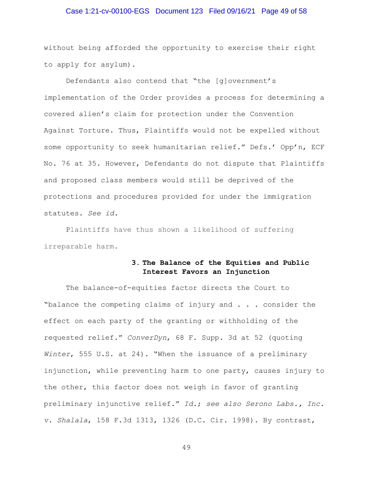## Case 1:21-cv-00100-EGS Document 123 Filed 09/16/21 Page 49 of 58

without being afforded the opportunity to exercise their right to apply for asylum).

Defendants also contend that "the [g]overnment's implementation of the Order provides a process for determining a covered alien's claim for protection under the Convention Against Torture. Thus, Plaintiffs would not be expelled without some opportunity to seek humanitarian relief." Defs.' Opp'n, ECF No. 76 at 35*.* However, Defendants do not dispute that Plaintiffs and proposed class members would still be deprived of the protections and procedures provided for under the immigration statutes. *See id.*

Plaintiffs have thus shown a likelihood of suffering irreparable harm.

# **3. The Balance of the Equities and Public Interest Favors an Injunction**

The balance-of-equities factor directs the Court to "balance the competing claims of injury and . . . consider the effect on each party of the granting or withholding of the requested relief." *ConverDyn*, 68 F. Supp. 3d at 52 (quoting *Winter*, 555 U.S. at 24). "When the issuance of a preliminary injunction, while preventing harm to one party, causes injury to the other, this factor does not weigh in favor of granting preliminary injunctive relief." *Id.*; *see also Serono Labs., Inc. v. Shalala*, 158 F.3d 1313, 1326 (D.C. Cir. 1998). By contrast,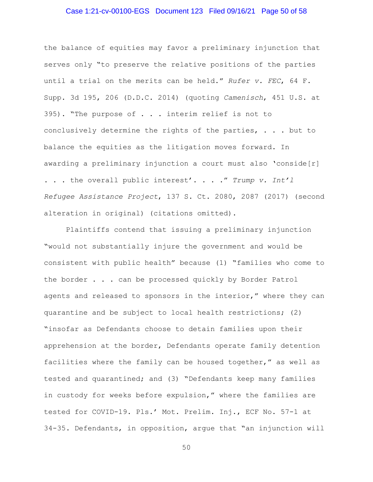## Case 1:21-cv-00100-EGS Document 123 Filed 09/16/21 Page 50 of 58

the balance of equities may favor a preliminary injunction that serves only "to preserve the relative positions of the parties until a trial on the merits can be held." *Rufer v. FEC*, 64 F. Supp. 3d 195, 206 (D.D.C. 2014) (quoting *Camenisch*, 451 U.S. at 395). "The purpose of . . . interim relief is not to conclusively determine the rights of the parties, . . . but to balance the equities as the litigation moves forward. In awarding a preliminary injunction a court must also 'conside[r] . . . the overall public interest'. . . ." *Trump v. Int'l Refugee Assistance Project*, 137 S. Ct. 2080, 2087 (2017) (second alteration in original) (citations omitted).

Plaintiffs contend that issuing a preliminary injunction "would not substantially injure the government and would be consistent with public health" because (1) "families who come to the border . . . can be processed quickly by Border Patrol agents and released to sponsors in the interior," where they can quarantine and be subject to local health restrictions; (2) "insofar as Defendants choose to detain families upon their apprehension at the border, Defendants operate family detention facilities where the family can be housed together," as well as tested and quarantined; and (3) "Defendants keep many families in custody for weeks before expulsion," where the families are tested for COVID-19. Pls.' Mot. Prelim. Inj., ECF No. 57-1 at 34-35. Defendants, in opposition, argue that "an injunction will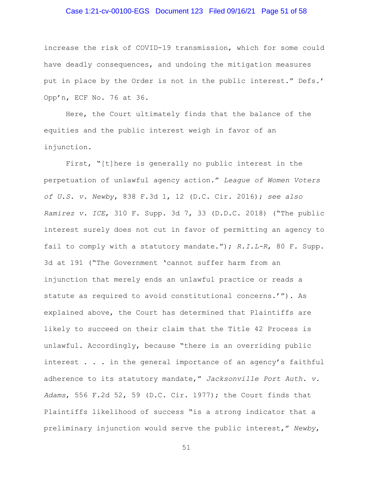## Case 1:21-cv-00100-EGS Document 123 Filed 09/16/21 Page 51 of 58

increase the risk of COVID-19 transmission, which for some could have deadly consequences, and undoing the mitigation measures put in place by the Order is not in the public interest." Defs.' Opp'n, ECF No. 76 at 36.

Here, the Court ultimately finds that the balance of the equities and the public interest weigh in favor of an injunction.

First, "[t]here is generally no public interest in the perpetuation of unlawful agency action." *League of Women Voters of U.S. v. Newby*, 838 F.3d 1, 12 (D.C. Cir. 2016); *see also Ramirez v. ICE*, 310 F. Supp. 3d 7, 33 (D.D.C. 2018) ("The public interest surely does not cut in favor of permitting an agency to fail to comply with a statutory mandate."); *R.I.L-R*, 80 F. Supp. 3d at 191 ("The Government 'cannot suffer harm from an injunction that merely ends an unlawful practice or reads a statute as required to avoid constitutional concerns.'"). As explained above, the Court has determined that Plaintiffs are likely to succeed on their claim that the Title 42 Process is unlawful. Accordingly, because "there is an overriding public interest . . . in the general importance of an agency's faithful adherence to its statutory mandate," *Jacksonville Port Auth. v. Adams*, 556 F.2d 52, 59 (D.C. Cir. 1977); the Court finds that Plaintiffs likelihood of success "is a strong indicator that a preliminary injunction would serve the public interest," *Newby*,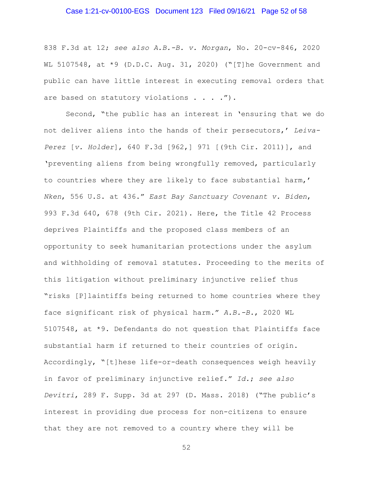## Case 1:21-cv-00100-EGS Document 123 Filed 09/16/21 Page 52 of 58

838 F.3d at 12; *see also A.B.-B. v. Morgan*, No. 20-cv-846, 2020 WL 5107548, at \*9 (D.D.C. Aug. 31, 2020) ("[T]he Government and public can have little interest in executing removal orders that are based on statutory violations . . . . ").

Second, "the public has an interest in 'ensuring that we do not deliver aliens into the hands of their persecutors,' *Leiva-Perez* [*v. Holder*], 640 F.3d [962,] 971 [(9th Cir. 2011)], and 'preventing aliens from being wrongfully removed, particularly to countries where they are likely to face substantial harm,' *Nken*, 556 U.S. at 436." *East Bay Sanctuary Covenant v. Biden*, 993 F.3d 640, 678 (9th Cir. 2021). Here, the Title 42 Process deprives Plaintiffs and the proposed class members of an opportunity to seek humanitarian protections under the asylum and withholding of removal statutes. Proceeding to the merits of this litigation without preliminary injunctive relief thus "risks [P]laintiffs being returned to home countries where they face significant risk of physical harm." *A.B.-B.*, 2020 WL 5107548, at \*9. Defendants do not question that Plaintiffs face substantial harm if returned to their countries of origin. Accordingly, "[t]hese life-or-death consequences weigh heavily in favor of preliminary injunctive relief." *Id.*; *see also Devitri*, 289 F. Supp. 3d at 297 (D. Mass. 2018) ("The public's interest in providing due process for non-citizens to ensure that they are not removed to a country where they will be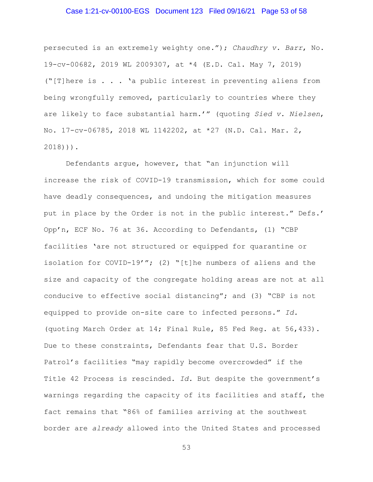## Case 1:21-cv-00100-EGS Document 123 Filed 09/16/21 Page 53 of 58

persecuted is an extremely weighty one."); *Chaudhry v. Barr*, No. 19-cv-00682, 2019 WL 2009307, at \*4 (E.D. Cal. May 7, 2019) ("[T]here is . . . 'a public interest in preventing aliens from being wrongfully removed, particularly to countries where they are likely to face substantial harm.'" (quoting *Sied v. Nielsen*, No. 17-cv-06785, 2018 WL 1142202, at \*27 (N.D. Cal. Mar. 2, 2018))).

Defendants argue, however, that "an injunction will increase the risk of COVID-19 transmission, which for some could have deadly consequences, and undoing the mitigation measures put in place by the Order is not in the public interest." Defs.' Opp'n, ECF No. 76 at 36. According to Defendants, (1) "CBP facilities 'are not structured or equipped for quarantine or isolation for COVID-19'"; (2) "[t]he numbers of aliens and the size and capacity of the congregate holding areas are not at all conducive to effective social distancing"; and (3) "CBP is not equipped to provide on-site care to infected persons." *Id.*  (quoting March Order at 14; Final Rule, 85 Fed Reg. at 56,433). Due to these constraints, Defendants fear that U.S. Border Patrol's facilities "may rapidly become overcrowded" if the Title 42 Process is rescinded. *Id.* But despite the government's warnings regarding the capacity of its facilities and staff, the fact remains that "86% of families arriving at the southwest border are *already* allowed into the United States and processed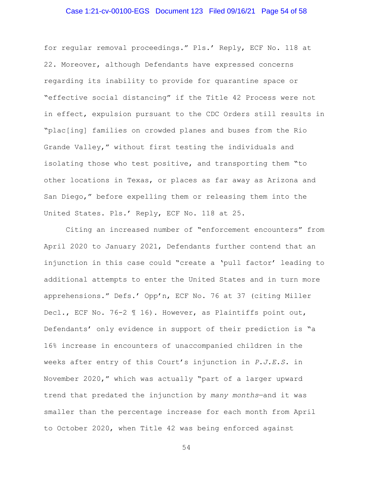# Case 1:21-cv-00100-EGS Document 123 Filed 09/16/21 Page 54 of 58

for regular removal proceedings." Pls.' Reply, ECF No. 118 at 22. Moreover, although Defendants have expressed concerns regarding its inability to provide for quarantine space or "effective social distancing" if the Title 42 Process were not in effect, expulsion pursuant to the CDC Orders still results in "plac[ing] families on crowded planes and buses from the Rio Grande Valley," without first testing the individuals and isolating those who test positive, and transporting them "to other locations in Texas, or places as far away as Arizona and San Diego," before expelling them or releasing them into the United States. Pls.' Reply, ECF No. 118 at 25.

Citing an increased number of "enforcement encounters" from April 2020 to January 2021, Defendants further contend that an injunction in this case could "create a 'pull factor' leading to additional attempts to enter the United States and in turn more apprehensions." Defs.' Opp'n, ECF No. 76 at 37 (citing Miller Decl., ECF No. 76-2 ¶ 16). However, as Plaintiffs point out, Defendants' only evidence in support of their prediction is "a 16% increase in encounters of unaccompanied children in the weeks after entry of this Court's injunction in *P.J.E.S.* in November 2020," which was actually "part of a larger upward trend that predated the injunction by *many months*—and it was smaller than the percentage increase for each month from April to October 2020, when Title 42 was being enforced against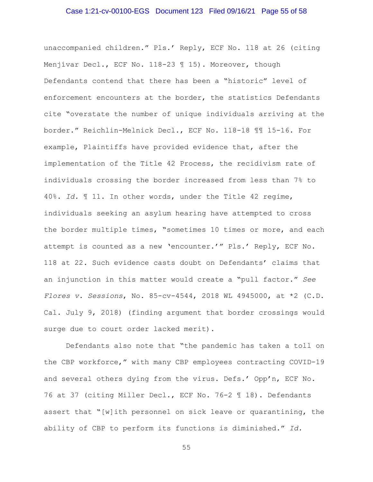#### Case 1:21-cv-00100-EGS Document 123 Filed 09/16/21 Page 55 of 58

unaccompanied children." Pls.' Reply, ECF No. 118 at 26 (citing Menjívar Decl., ECF No. 118-23 ¶ 15). Moreover, though Defendants contend that there has been a "historic" level of enforcement encounters at the border, the statistics Defendants cite "overstate the number of unique individuals arriving at the border." Reichlin-Melnick Decl., ECF No. 118-18 ¶¶ 15-16. For example, Plaintiffs have provided evidence that, after the implementation of the Title 42 Process, the recidivism rate of individuals crossing the border increased from less than 7% to 40%. *Id.* ¶ 11. In other words, under the Title 42 regime, individuals seeking an asylum hearing have attempted to cross the border multiple times, "sometimes 10 times or more, and each attempt is counted as a new 'encounter.'" Pls.' Reply, ECF No. 118 at 22. Such evidence casts doubt on Defendants' claims that an injunction in this matter would create a "pull factor." *See Flores v. Sessions*, No. 85-cv-4544, 2018 WL 4945000, at \*2 (C.D. Cal. July 9, 2018) (finding argument that border crossings would surge due to court order lacked merit).

Defendants also note that "the pandemic has taken a toll on the CBP workforce," with many CBP employees contracting COVID-19 and several others dying from the virus. Defs.' Opp'n, ECF No. 76 at 37 (citing Miller Decl., ECF No. 76-2 ¶ 18). Defendants assert that "[w]ith personnel on sick leave or quarantining, the ability of CBP to perform its functions is diminished." *Id.*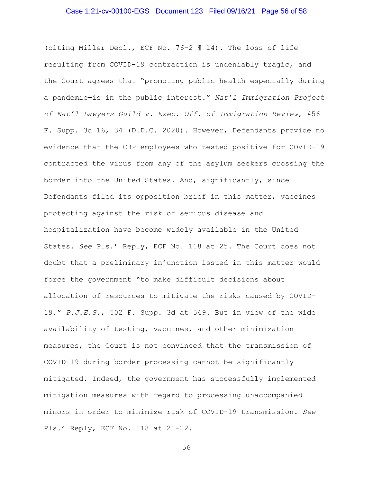#### Case 1:21-cv-00100-EGS Document 123 Filed 09/16/21 Page 56 of 58

(citing Miller Decl., ECF No. 76-2 ¶ 14). The loss of life resulting from COVID-19 contraction is undeniably tragic, and the Court agrees that "promoting public health—especially during a pandemic—is in the public interest." *Nat'l Immigration Project of Nat'l Lawyers Guild v. Exec. Off. of Immigration Review*, 456 F. Supp. 3d 16, 34 (D.D.C. 2020). However, Defendants provide no evidence that the CBP employees who tested positive for COVID-19 contracted the virus from any of the asylum seekers crossing the border into the United States. And, significantly, since Defendants filed its opposition brief in this matter, vaccines protecting against the risk of serious disease and hospitalization have become widely available in the United States. *See* Pls.' Reply, ECF No. 118 at 25. The Court does not doubt that a preliminary injunction issued in this matter would force the government "to make difficult decisions about allocation of resources to mitigate the risks caused by COVID-19." *P.J.E.S.*, 502 F. Supp. 3d at 549. But in view of the wide availability of testing, vaccines, and other minimization measures, the Court is not convinced that the transmission of COVID-19 during border processing cannot be significantly mitigated. Indeed, the government has successfully implemented mitigation measures with regard to processing unaccompanied minors in order to minimize risk of COVID-19 transmission. *See*  Pls.' Reply, ECF No. 118 at 21-22.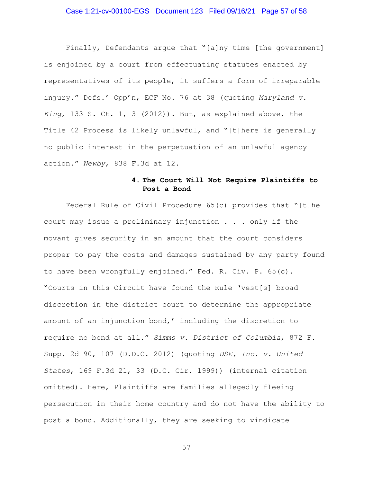## Case 1:21-cv-00100-EGS Document 123 Filed 09/16/21 Page 57 of 58

Finally, Defendants argue that "[a]ny time [the government] is enjoined by a court from effectuating statutes enacted by representatives of its people, it suffers a form of irreparable injury." Defs.' Opp'n, ECF No. 76 at 38 (quoting *Maryland v. King*, 133 S. Ct. 1, 3 (2012)). But, as explained above, the Title 42 Process is likely unlawful, and "[t]here is generally no public interest in the perpetuation of an unlawful agency action." *Newby*, 838 F.3d at 12.

# **4. The Court Will Not Require Plaintiffs to Post a Bond**

Federal Rule of Civil Procedure 65(c) provides that "[t]he court may issue a preliminary injunction . . . only if the movant gives security in an amount that the court considers proper to pay the costs and damages sustained by any party found to have been wrongfully enjoined." Fed. R. Civ. P. 65(c). "Courts in this Circuit have found the Rule 'vest[s] broad discretion in the district court to determine the appropriate amount of an injunction bond,' including the discretion to require no bond at all." *Simms v. District of Columbia*, 872 F. Supp. 2d 90, 107 (D.D.C. 2012) (quoting *DSE, Inc. v. United States*, 169 F.3d 21, 33 (D.C. Cir. 1999)) (internal citation omitted). Here, Plaintiffs are families allegedly fleeing persecution in their home country and do not have the ability to post a bond. Additionally, they are seeking to vindicate